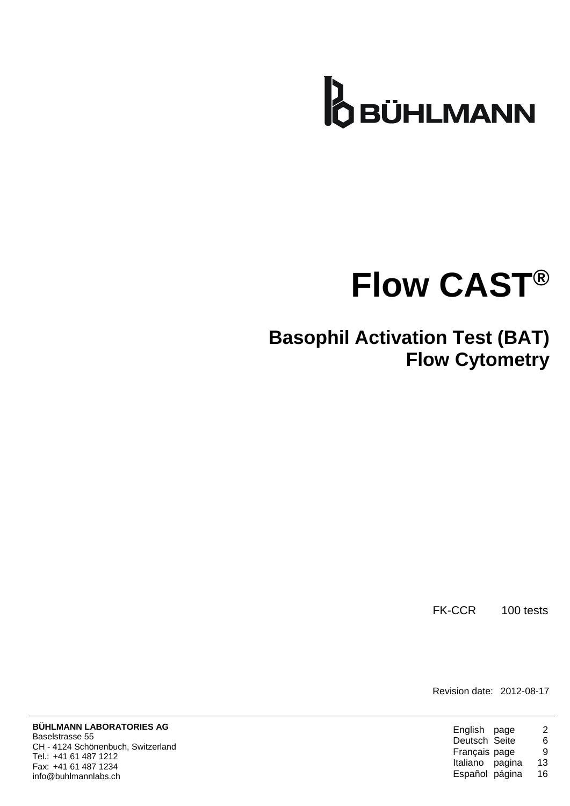

# **Flow CAST®**

## **Basophil Activation Test (BAT) Flow Cytometry**

FK-CCR 100 tests

Revision date: 2012-08-17

| English page    | 2  |
|-----------------|----|
| Deutsch Seite   | 6  |
| Français page   | я  |
| Italiano pagina | 13 |
| Español página  | 16 |
|                 |    |

**BÜHLMANN LABORATORIES AG** Baselstrasse 55 CH - 4124 Schönenbuch, Switzerland Tel.: +41 61 487 1212 Fax: +41 61 487 1234 info@buhlmannlabs.ch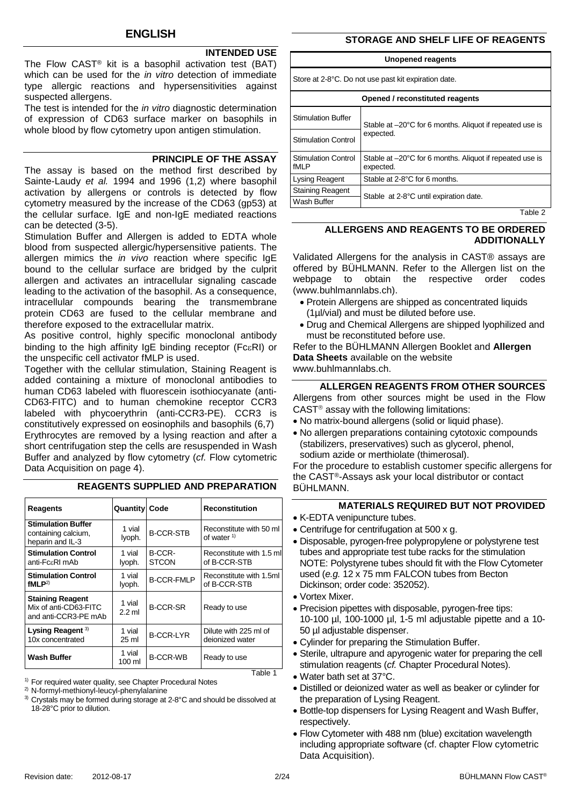## **INTENDED USE**

The Flow CAST® kit is a basophil activation test (BAT) which can be used for the *in vitro* detection of immediate type allergic reactions and hypersensitivities against suspected allergens.

The test is intended for the *in vitro* diagnostic determination of expression of CD63 surface marker on basophils in whole blood by flow cytometry upon antigen stimulation.

#### **PRINCIPLE OF THE ASSAY**

The assay is based on the method first described by Sainte-Laudy *et al.* 1994 and 1996 (1,2) where basophil activation by allergens or controls is detected by flow cytometry measured by the increase of the CD63 (gp53) at the cellular surface. IgE and non-IgE mediated reactions can be detected (3-5).

Stimulation Buffer and Allergen is added to EDTA whole blood from suspected allergic/hypersensitive patients. The allergen mimics the *in vivo* reaction where specific IgE bound to the cellular surface are bridged by the culprit allergen and activates an intracellular signaling cascade leading to the activation of the basophil. As a consequence, intracellular compounds bearing the transmembrane protein CD63 are fused to the cellular membrane and therefore exposed to the extracellular matrix.

As positive control, highly specific monoclonal antibody binding to the high affinity IgE binding receptor (FcεRI) or the unspecific cell activator fMLP is used.

Together with the cellular stimulation, Staining Reagent is added containing a mixture of monoclonal antibodies to human CD63 labeled with fluorescein isothiocyanate (anti-CD63-FITC) and to human chemokine receptor CCR3 labeled with phycoerythrin (anti-CCR3-PE). CCR3 is constitutively expressed on eosinophils and basophils (6,7) Erythrocytes are removed by a lysing reaction and after a short centrifugation step the cells are resuspended in Wash Buffer and analyzed by flow cytometry (*cf.* [Flow cytometric](#page-3-0)  [Data Acquisition](#page-3-0) on page [4\)](#page-3-0).

| <b>Reagents</b>                                                          | <b>Quantity Code</b> |                        | <b>Reconstitution</b>                    |
|--------------------------------------------------------------------------|----------------------|------------------------|------------------------------------------|
| <b>Stimulation Buffer</b><br>containing calcium,<br>heparin and IL-3     | 1 vial<br>lyoph.     | <b>B-CCR-STB</b>       | Reconstitute with 50 ml<br>of water $1$  |
| <b>Stimulation Control</b><br>anti-FcεRI mAb                             | 1 vial<br>lyoph.     | B-CCR-<br><b>STCON</b> | Reconstitute with 1.5 ml<br>of B-CCR-STB |
| <b>Stimulation Control</b><br>fMLP <sup>2</sup>                          | 1 vial<br>lyoph.     | <b>B-CCR-FMLP</b>      | Reconstitute with 1.5ml<br>of B-CCR-STB  |
| <b>Staining Reagent</b><br>Mix of anti-CD63-FITC<br>and anti-CCR3-PE mAb | 1 vial<br>$2.2$ ml   | <b>B-CCR-SR</b>        | Ready to use                             |
| Lysing Reagent <sup>3)</sup><br>10x concentrated                         | 1 vial<br>25 ml      | <b>B-CCR-LYR</b>       | Dilute with 225 ml of<br>deionized water |
| <b>Wash Buffer</b>                                                       | 1 vial<br>100 ml     | <b>B-CCR-WB</b>        | Ready to use                             |

## **REAGENTS SUPPLIED AND PREPARATION**

<sup>1)</sup> For required water quality, see Chapter Procedural Notes

2) N-formyl-methionyl-leucyl-phenylalanine

<sup>3)</sup> Crystals may be formed during storage at 2-8°C and should be dissolved at 18-28°C prior to dilution.

## **STORAGE AND SHELF LIFE OF REAGENTS**

#### **Unopened reagents**

Store at 2-8°C. Do not use past kit expiration date.

|                                     | Opened / reconstituted reagents                                       |  |  |
|-------------------------------------|-----------------------------------------------------------------------|--|--|
| <b>Stimulation Buffer</b>           | Stable at -20°C for 6 months. Aliquot if repeated use is              |  |  |
| <b>Stimulation Control</b>          | expected.                                                             |  |  |
| <b>Stimulation Control</b><br>fMI P | Stable at -20°C for 6 months. Aliquot if repeated use is<br>expected. |  |  |
| <b>Lysing Reagent</b>               | Stable at 2-8°C for 6 months.                                         |  |  |
| <b>Staining Reagent</b>             | Stable at 2-8°C until expiration date.                                |  |  |
| Wash Buffer                         |                                                                       |  |  |

Table 2

## **ALLERGENS AND REAGENTS TO BE ORDERED ADDITIONALLY**

Validated Allergens for the analysis in CAST® assays are offered by BÜHLMANN. Refer to the Allergen list on the webpage to obtain the respective order codes (www.buhlmannlabs.ch).

- Protein Allergens are shipped as concentrated liquids (1µl/vial) and must be diluted before use.
- Drug and Chemical Allergens are shipped lyophilized and must be reconstituted before use.

Refer to the BÜHLMANN Allergen Booklet and **Allergen Data Sheets** available on the website www.buhlmannlabs.ch.

## **ALLERGEN REAGENTS FROM OTHER SOURCES** Allergens from other sources might be used in the Flow

 $CAST<sup>®</sup>$  assay with the following limitations: • No matrix-bound allergens (solid or liquid phase).

- No allergen preparations containing cytotoxic compounds
- (stabilizers, preservatives) such as glycerol, phenol, sodium azide or merthiolate (thimerosal).

For the procedure to establish customer specific allergens for the CAST®-Assays ask your local distributor or contact BÜHLMANN.

## **MATERIALS REQUIRED BUT NOT PROVIDED**

- K-EDTA venipuncture tubes.
- Centrifuge for centrifugation at 500 x g.
- Disposable, pyrogen-free polypropylene or polystyrene test tubes and appropriate test tube racks for the stimulation NOTE: Polystyrene tubes should fit with the Flow Cytometer used (*e.g.* 12 x 75 mm FALCON tubes from Becton Dickinson; order code: 352052).
- Vortex Mixer.
- Precision pipettes with disposable, pyrogen-free tips: 10-100 µl, 100-1000 µl, 1-5 ml adjustable pipette and a 10- 50 µl adjustable dispenser.
- Cylinder for preparing the Stimulation Buffer.
- Sterile, ultrapure and apyrogenic water for preparing the cell stimulation reagents (*cf.* Chapter Procedural Notes).
- Water bath set at 37°C.
- Distilled or deionized water as well as beaker or cylinder for the preparation of Lysing Reagent.
- Bottle-top dispensers for Lysing Reagent and Wash Buffer, respectively.
- Flow Cytometer with 488 nm (blue) excitation wavelength including appropriate software (cf. chapter [Flow cytometric](#page-3-0)  [Data Acquisition\)](#page-3-0).

Table 1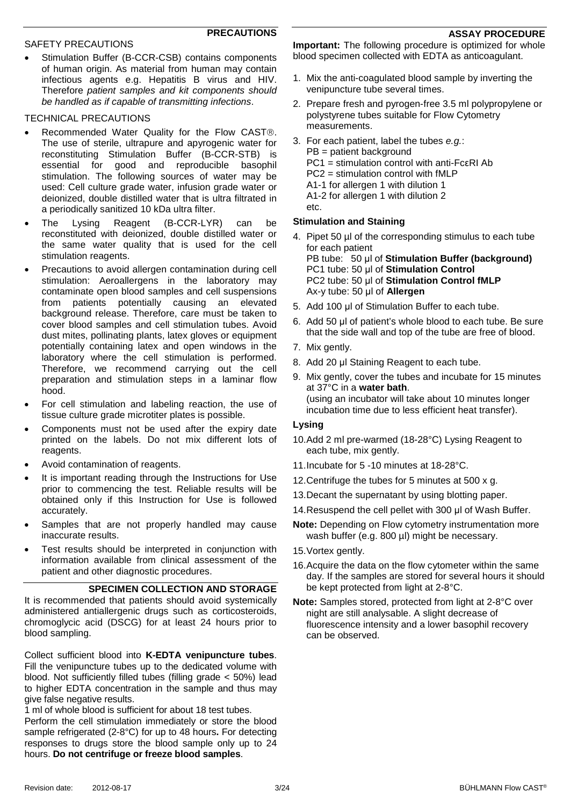#### **ASSAY PROCEDURE**

## **PRECAUTIONS**

#### SAFETY PRECAUTIONS

Stimulation Buffer (B-CCR-CSB) contains components of human origin. As material from human may contain infectious agents e.g. Hepatitis B virus and HIV. Therefore *patient samples and kit components should be handled as if capable of transmitting infections*.

## TECHNICAL PRECAUTIONS

- Recommended Water Quality for the Flow CAST®. The use of sterile, ultrapure and apyrogenic water for reconstituting Stimulation Buffer (B-CCR-STB) is essential for good and reproducible basophil stimulation. The following sources of water may be used: Cell culture grade water, infusion grade water or deionized, double distilled water that is ultra filtrated in a periodically sanitized 10 kDa ultra filter.
- The Lysing Reagent (B-CCR-LYR) can be reconstituted with deionized, double distilled water or the same water quality that is used for the cell stimulation reagents.
- Precautions to avoid allergen contamination during cell stimulation: Aeroallergens in the laboratory may contaminate open blood samples and cell suspensions from patients potentially causing an elevated background release. Therefore, care must be taken to cover blood samples and cell stimulation tubes. Avoid dust mites, pollinating plants, latex gloves or equipment potentially containing latex and open windows in the laboratory where the cell stimulation is performed. Therefore, we recommend carrying out the cell preparation and stimulation steps in a laminar flow hood.
- For cell stimulation and labeling reaction, the use of tissue culture grade microtiter plates is possible.
- Components must not be used after the expiry date printed on the labels. Do not mix different lots of reagents.
- Avoid contamination of reagents.
- It is important reading through the Instructions for Use prior to commencing the test. Reliable results will be obtained only if this Instruction for Use is followed accurately.
- Samples that are not properly handled may cause inaccurate results.
- Test results should be interpreted in conjunction with information available from clinical assessment of the patient and other diagnostic procedures.

## **SPECIMEN COLLECTION AND STORAGE**

It is recommended that patients should avoid systemically administered antiallergenic drugs such as corticosteroids, chromoglycic acid (DSCG) for at least 24 hours prior to blood sampling.

Collect sufficient blood into **K-EDTA venipuncture tubes**. Fill the venipuncture tubes up to the dedicated volume with blood. Not sufficiently filled tubes (filling grade < 50%) lead to higher EDTA concentration in the sample and thus may give false negative results.

1 ml of whole blood is sufficient for about 18 test tubes.

Perform the cell stimulation immediately or store the blood sample refrigerated (2-8°C) for up to 48 hours**.** For detecting responses to drugs store the blood sample only up to 24 hours. **Do not centrifuge or freeze blood samples**.

**Important:** The following procedure is optimized for whole blood specimen collected with EDTA as anticoagulant.

- 1. Mix the anti-coagulated blood sample by inverting the venipuncture tube several times.
- 2. Prepare fresh and pyrogen-free 3.5 ml polypropylene or polystyrene tubes suitable for Flow Cytometry measurements.
- 3. For each patient, label the tubes *e.g.*: PB = patient background PC1 = stimulation control with anti-FcεRI Ab PC2 = stimulation control with fMLP A1-1 for allergen 1 with dilution 1 A1-2 for allergen 1 with dilution 2 etc.

## **Stimulation and Staining**

- 4. Pipet 50 µl of the corresponding stimulus to each tube for each patient PB tube: 50 μl of **Stimulation Buffer (background)**  PC1 tube: 50 μl of **Stimulation Control**  PC2 tube: 50 μl of **Stimulation Control fMLP**  Ax-y tube: 50 μl of **Allergen**
- 5. Add 100 μl of Stimulation Buffer to each tube.
- 6. Add 50 μl of patient's whole blood to each tube. Be sure that the side wall and top of the tube are free of blood.
- 7. Mix gently.
- 8. Add 20 μl Staining Reagent to each tube.
- 9. Mix gently, cover the tubes and incubate for 15 minutes at 37°C in a **water bath**. (using an incubator will take about 10 minutes longer incubation time due to less efficient heat transfer).

## **Lysing**

- 10.Add 2 ml pre-warmed (18-28°C) Lysing Reagent to each tube, mix gently.
- 11.Incubate for 5 -10 minutes at 18-28°C.
- 12.Centrifuge the tubes for 5 minutes at 500 x g.
- 13.Decant the supernatant by using blotting paper.
- 14.Resuspend the cell pellet with 300 μl of Wash Buffer.
- **Note:** Depending on Flow cytometry instrumentation more wash buffer (e.g. 800 µl) might be necessary.
- 15.Vortex gently.
- 16.Acquire the data on the flow cytometer within the same day. If the samples are stored for several hours it should be kept protected from light at 2-8°C.
- **Note:** Samples stored, protected from light at 2-8°C over night are still analysable. A slight decrease of fluorescence intensity and a lower basophil recovery can be observed.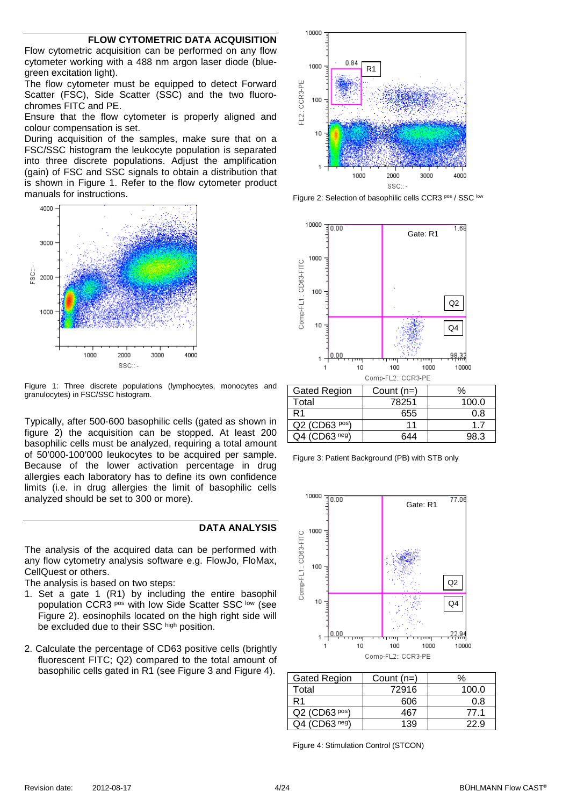#### **FLOW CYTOMETRIC DATA ACQUISITION**

<span id="page-3-0"></span>Flow cytometric acquisition can be performed on any flow cytometer working with a 488 nm argon laser diode (bluegreen excitation light).

The flow cytometer must be equipped to detect Forward Scatter (FSC), Side Scatter (SSC) and the two fluorochromes FITC and PE.

Ensure that the flow cytometer is properly aligned and colour compensation is set.

During acquisition of the samples, make sure that on a FSC/SSC histogram the leukocyte population is separated into three discrete populations. Adjust the amplification (gain) of FSC and SSC signals to obtain a distribution that is shown in [Figure 1.](#page-3-1) Refer to the flow cytometer product manuals for instructions.



<span id="page-3-1"></span>Figure 1: Three discrete populations (lymphocytes, monocytes and granulocytes) in FSC/SSC histogram.

Typically, after 500-600 basophilic cells (gated as shown in figure 2) the acquisition can be stopped. At least 200 basophilic cells must be analyzed, requiring a total amount of 50'000-100'000 leukocytes to be acquired per sample. Because of the lower activation percentage in drug allergies each laboratory has to define its own confidence limits (i.e. in drug allergies the limit of basophilic cells analyzed should be set to 300 or more).

#### **DATA ANALYSIS**

The analysis of the acquired data can be performed with any flow cytometry analysis software e.g. FlowJo, FloMax, CellQuest or others.

The analysis is based on two steps:

- 1. Set a gate 1 (R1) by including the entire basophil population CCR3 pos with low Side Scatter SSC low (see [Figure 2\)](#page-3-2). eosinophils located on the high right side will be excluded due to their SSC high position.
- 2. Calculate the percentage of CD63 positive cells (brightly fluorescent FITC; Q2) compared to the total amount of basophilic cells gated in R1 (see [Figure 3](#page-3-3) and [Figure 4\)](#page-3-4).



<span id="page-3-2"></span>Figure 2: Selection of basophilic cells CCR3 pos / SSC low



| Gated Region    | Count (n=) |       |
|-----------------|------------|-------|
| Total           | 78251      | 100.0 |
|                 | 655        | 0.8   |
| $Q2$ (CD63 pos) | 11         | 17    |
| $Q4$ (CD63 neg) | 644        | 98.3  |
|                 |            |       |

<span id="page-3-3"></span>Figure 3: Patient Background (PB) with STB only



| Gated Region                   | Count $(n=)$ | $\%$  |
|--------------------------------|--------------|-------|
| Total                          | 72916        | 100.0 |
| R1                             | 606          | 0.8   |
| Q2 (CD63 pos)                  | 467          | 77 1  |
| $\cdot$ (CD63 <sup>neg</sup> ) | 139          |       |

<span id="page-3-4"></span>Figure 4: Stimulation Control (STCON)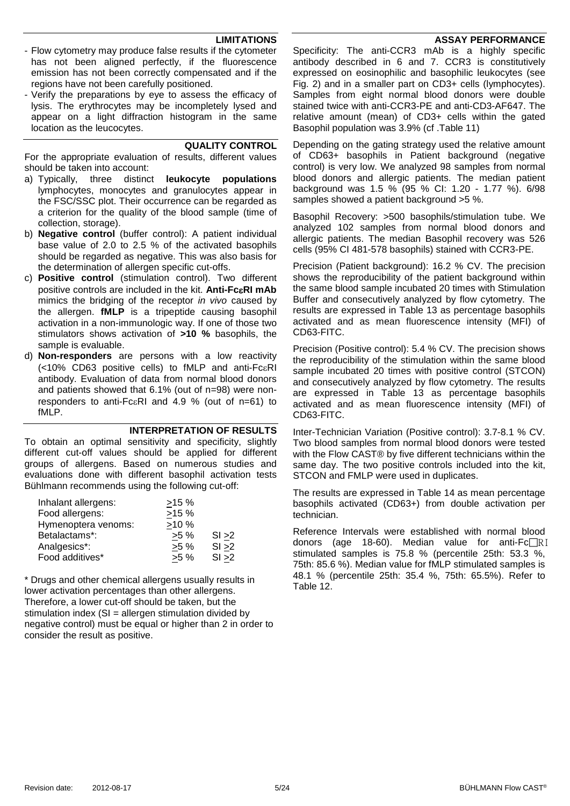#### **ASSAY PERFORMANCE**

#### **LIMITATIONS**

- Flow cytometry may produce false results if the cytometer has not been aligned perfectly, if the fluorescence emission has not been correctly compensated and if the regions have not been carefully positioned.
- Verify the preparations by eye to assess the efficacy of lysis. The erythrocytes may be incompletely lysed and appear on a light diffraction histogram in the same location as the leucocytes.

#### **QUALITY CONTROL**

For the appropriate evaluation of results, different values should be taken into account:

- a) Typically, three distinct **leukocyte populations**  lymphocytes, monocytes and granulocytes appear in the FSC/SSC plot. Their occurrence can be regarded as a criterion for the quality of the blood sample (time of collection, storage).
- b) **Negative control** (buffer control): A patient individual base value of 2.0 to 2.5 % of the activated basophils should be regarded as negative. This was also basis for the determination of allergen specific cut-offs.
- c) **Positive control** (stimulation control). Two different positive controls are included in the kit. **Anti-Fc**ε**RI mAb** mimics the bridging of the receptor *in vivo* caused by the allergen. **fMLP** is a tripeptide causing basophil activation in a non-immunologic way. If one of those two stimulators shows activation of **>10 %** basophils, the sample is evaluable.
- d) **Non-responders** are persons with a low reactivity (<10% CD63 positive cells) to fMLP and anti-FcεRI antibody. Evaluation of data from normal blood donors and patients showed that 6.1% (out of n=98) were nonresponders to anti-FcεRI and 4.9 % (out of n=61) to fMLP.

#### **INTERPRETATION OF RESULTS**

To obtain an optimal sensitivity and specificity, slightly different cut-off values should be applied for different groups of allergens. Based on numerous studies and evaluations done with different basophil activation tests Bühlmann recommends using the following cut-off:

| Inhalant allergens: | >15%   |        |
|---------------------|--------|--------|
| Food allergens:     | >15%   |        |
| Hymenoptera venoms: | >10%   |        |
| Betalactams*:       | $>5\%$ | SI > 2 |
| Analgesics*:        | $>5\%$ | SI > 2 |
| Food additives*     | $>5\%$ | SI > 2 |

\* Drugs and other chemical allergens usually results in lower activation percentages than other allergens. Therefore, a lower cut-off should be taken, but the stimulation index  $(SI = allergen$  stimulation divided by negative control) must be equal or higher than 2 in order to consider the result as positive.

Specificity: The anti-CCR3 mAb is a highly specific antibody described in 6 and 7. CCR3 is constitutively expressed on eosinophilic and basophilic leukocytes (see Fig. 2) and in a smaller part on CD3+ cells (lymphocytes). Samples from eight normal blood donors were double stained twice with anti-CCR3-PE and anti-CD3-AF647. The relative amount (mean) of CD3+ cells within the gated Basophil population was 3.9% (cf [.Table 11\)](#page-21-0)

Depending on the gating strategy used the relative amount of CD63+ basophils in Patient background (negative control) is very low. We analyzed 98 samples from normal blood donors and allergic patients. The median patient background was 1.5 % (95 % CI: 1.20 - 1.77 %). 6/98 samples showed a patient background >5 %.

Basophil Recovery: >500 basophils/stimulation tube. We analyzed 102 samples from normal blood donors and allergic patients. The median Basophil recovery was 526 cells (95% CI 481-578 basophils) stained with CCR3-PE.

Precision (Patient background): 16.2 % CV. The precision shows the reproducibility of the patient background within the same blood sample incubated 20 times with Stimulation Buffer and consecutively analyzed by flow cytometry. The results are expressed in [Table 13](#page-21-1) as percentage basophils activated and as mean fluorescence intensity (MFI) of CD63-FITC.

Precision (Positive control): 5.4 % CV. The precision shows the reproducibility of the stimulation within the same blood sample incubated 20 times with positive control (STCON) and consecutively analyzed by flow cytometry. The results are expressed in [Table 13](#page-21-1) as percentage basophils activated and as mean fluorescence intensity (MFI) of CD63-FITC.

Inter-Technician Variation (Positive control): 3.7-8.1 % CV. Two blood samples from normal blood donors were tested with the Flow CAST<sup>®</sup> by five different technicians within the same day. The two positive controls included into the kit, STCON and FMLP were used in duplicates.

The results are expressed in [Table 14](#page-21-2) as mean percentage basophils activated (CD63+) from double activation per technician.

Reference Intervals were established with normal blood donors (age 18-60). Median value for anti- $FC \nRI$ stimulated samples is 75.8 % (percentile 25th: 53.3 %, 75th: 85.6 %). Median value for fMLP stimulated samples is 48.1 % (percentile 25th: 35.4 %, 75th: 65.5%). Refer to [Table 12.](#page-21-3)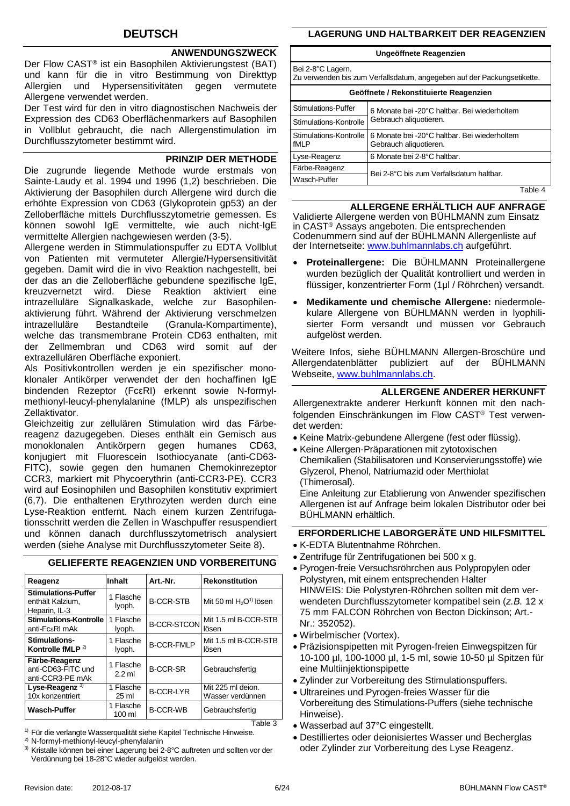## **DEUTSCH**

## **ANWENDUNGSZWECK**

Der Flow CAST® ist ein Basophilen Aktivierungstest (BAT) und kann für die in vitro Bestimmung von Direkttyp Allergien und Hypersensitivitäten gegen vermutete Allergene verwendet werden.

Der Test wird für den in vitro diagnostischen Nachweis der Expression des CD63 Oberflächenmarkers auf Basophilen in Vollblut gebraucht, die nach Allergenstimulation im Durchflusszytometer bestimmt wird.

#### **PRINZIP DER METHODE**

Die zugrunde liegende Methode wurde erstmals von Sainte-Laudy et al. 1994 und 1996 [\(1,](#page-21-4)[2\)](#page-21-5) beschrieben. Die Aktivierung der Basophilen durch Allergene wird durch die erhöhte Expression von CD63 (Glykoprotein gp53) an der Zelloberfläche mittels Durchflusszytometrie gemessen. Es können sowohl IgE vermittelte, wie auch nicht-IgE vermittelte Allergien nachgewiesen werden [\(3-](#page-21-6)[5\)](#page-21-7).

Allergene werden in Stimmulationspuffer zu EDTA Vollblut von Patienten mit vermuteter Allergie/Hypersensitivität gegeben. Damit wird die in vivo Reaktion nachgestellt, bei der das an die Zelloberfläche gebundene spezifische IgE, kreuzvernetzt wird. Diese Reaktion aktiviert eine intrazelluläre Signalkaskade, welche zur Basophilenaktivierung führt. Während der Aktivierung verschmelzen intrazelluläre Bestandteile (Granula-Kompartimente), welche das transmembrane Protein CD63 enthalten, mit<br>der Zellmembran und CD63 wird somit auf der der Zellmembran und CD63 extrazellulären Oberfläche exponiert.

Als Positivkontrollen werden je ein spezifischer monoklonaler Antikörper verwendet der den hochaffinen IgE bindenden Rezeptor (FcεRI) erkennt sowie N-formylmethionyl-leucyl-phenylalanine (fMLP) als unspezifischen Zellaktivator.

Gleichzeitig zur zellulären Stimulation wird das Färbereagenz dazugegeben. Dieses enthält ein Gemisch aus monoklonalen Antikörpern gegen humanes CD63, konjugiert mit Fluorescein Isothiocyanate (anti-CD63- FITC), sowie gegen den humanen Chemokinrezeptor CCR3, markiert mit Phycoerythrin (anti-CCR3-PE). CCR3 wird auf Eosinophilen und Basophilen konstitutiv exprimiert (6,7). Die enthaltenen Erythrozyten werden durch eine Lyse-Reaktion entfernt. Nach einem kurzen Zentrifugationsschritt werden die Zellen in Waschpuffer resuspendiert und können danach durchflusszytometrisch analysiert werden (siehe Analyse mit Durchflusszytometer Seite [8\)](#page-7-0).

| Reagenz                                                         | Inhalt                | Art.-Nr.            | <b>Rekonstitution</b>                          |
|-----------------------------------------------------------------|-----------------------|---------------------|------------------------------------------------|
| <b>Stimulations-Puffer</b><br>enthält Kalzium.<br>Heparin, IL-3 | 1 Flasche<br>lyoph.   | <b>B-CCR-STB</b>    | Mit 50 ml H <sub>2</sub> O <sup>1)</sup> lösen |
| <b>Stimulations-Kontrolle</b><br>anti-FcεRI mAk                 | 1 Flasche<br>lyoph.   | <b>B-CCR-STCONI</b> | Mit 1.5 ml B-CCR-STB<br>lösen                  |
| Stimulations-<br>Kontrolle fMLP <sup>2)</sup>                   | 1 Flasche<br>lyoph.   | <b>B-CCR-FMLP</b>   | Mit 1.5 ml B-CCR-STB<br>lösen                  |
| Färbe-Reagenz<br>anti-CD63-FITC und<br>anti-CCR3-PE mAk         | 1 Flasche<br>$2.2$ ml | <b>B-CCR-SR</b>     | Gebrauchsfertig                                |
| Lyse-Reagenz <sup>3)</sup><br>10x konzentriert                  | 1 Flasche<br>25 ml    | <b>B-CCR-LYR</b>    | Mit 225 ml deion.<br>Wasser verdünnen          |
| <b>Wasch-Puffer</b>                                             | 1 Flasche<br>100 ml   | <b>B-CCR-WB</b>     | Gebrauchsfertig                                |

**GELIEFERTE REAGENZIEN UND VORBEREITUNG**

<sup>1)</sup> Für die verlangte Wasserqualität siehe Kapitel Technische Hinweise.

2) N-formyl-methionyl-leucyl-phenylalanin

3) Kristalle können bei einer Lagerung bei 2-8°C auftreten und sollten vor der Verdünnung bei 18-28°C wieder aufgelöst werden.

## **LAGERUNG UND HALTBARKEIT DER REAGENZIEN**

#### **Ungeöffnete Reagenzien**

Bei 2-8°C Lagern.

Zu verwenden bis zum Verfallsdatum, angegeben auf der Packungsetikette.

| Geöffnete / Rekonstituierte Reagenzien |                                                                        |  |
|----------------------------------------|------------------------------------------------------------------------|--|
| Stimulations-Puffer                    | 6 Monate bei -20°C haltbar. Bei wiederholtem                           |  |
| Stimulations-Kontrolle                 | Gebrauch aliquotieren.                                                 |  |
| Stimulations-Kontrolle<br>fMLP         | 6 Monate bei -20°C haltbar. Bei wiederholtem<br>Gebrauch aliquotieren. |  |
| Lyse-Reagenz                           | 6 Monate bei 2-8°C haltbar.                                            |  |
| Färbe-Reagenz                          | Bei 2-8°C bis zum Verfallsdatum haltbar.                               |  |
| Wasch-Puffer                           |                                                                        |  |

Table 4

#### **ALLERGENE ERHÄLTLICH AUF ANFRAGE**

Validierte Allergene werden von BÜHLMANN zum Einsatz in CAST® Assays angeboten. Die entsprechenden Codenummern sind auf der BÜHLMANN Allergenliste auf der Internetseite: [www.buhlmannlabs.ch](http://www.buhlmannlabs.ch/) aufgeführt.

- **Proteinallergene:** Die BÜHLMANN Proteinallergene wurden bezüglich der Qualität kontrolliert und werden in flüssiger, konzentrierter Form (1μl / Röhrchen) versandt.
- **Medikamente und chemische Allergene:** niedermolekulare Allergene von BÜHLMANN werden in lyophilisierter Form versandt und müssen vor Gebrauch aufgelöst werden.

Weitere Infos, siehe BÜHLMANN Allergen-Broschüre und Allergendatenblätter publiziert auf der BÜHLMANN Webseite, [www.buhlmannlabs.ch.](http://www.buhlmannlabs.ch/)

## **ALLERGENE ANDERER HERKUNFT**

Allergenextrakte anderer Herkunft können mit den nachfolgenden Einschränkungen im Flow CAST<sup>®</sup> Test verwendet werden:

- Keine Matrix-gebundene Allergene (fest oder flüssig).
- Keine Allergen-Präparationen mit zytotoxischen Chemikalien (Stabilisatoren und Konservierungsstoffe) wie Glyzerol, Phenol, Natriumazid oder Merthiolat (Thimerosal).

Eine Anleitung zur Etablierung von Anwender spezifischen Allergenen ist auf Anfrage beim lokalen Distributor oder bei BÜHLMANN erhältlich.

## **ERFORDERLICHE LABORGERÄTE UND HILFSMITTEL**

- K-EDTA Blutentnahme Röhrchen.
- Zentrifuge für Zentrifugationen bei 500 x g.
- Pyrogen-freie Versuchsröhrchen aus Polypropylen oder Polystyren, mit einem entsprechenden Halter HINWEIS: Die Polystyren-Röhrchen sollten mit dem verwendeten Durchflusszytometer kompatibel sein (*z.B.* 12 x 75 mm FALCON Röhrchen von Becton Dickinson; Art.- Nr.: 352052).
- Wirbelmischer (Vortex).
- Präzisionspipetten mit Pyrogen-freien Einwegspitzen für 10-100 µl, 100-1000 µl, 1-5 ml, sowie 10-50 µl Spitzen für eine Multiinjektionspipette
- Zylinder zur Vorbereitung des Stimulationspuffers.
- Ultrareines und Pyrogen-freies Wasser für die Vorbereitung des Stimulations-Puffers (siehe technische Hinweise).
- Wasserbad auf 37°C eingestellt.
- Destilliertes oder deionisiertes Wasser und Becherglas oder Zylinder zur Vorbereitung des Lyse Reagenz.

Table 3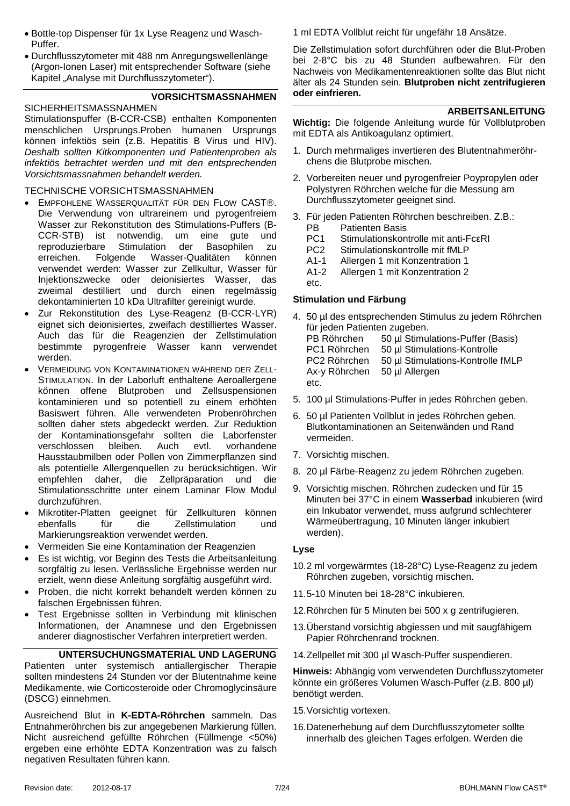- Bottle-top Dispenser für 1x Lyse Reagenz und Wasch-Puffer.
- Durchflusszytometer mit 488 nm Anregungswellenlänge (Argon-Ionen Laser) mit entsprechender Software (siehe Kapitel "Analyse mit Durchflusszytometer").

## **VORSICHTSMASSNAHMEN**

SICHERHEITSMASSNAHMEN Stimulationspuffer (B-CCR-CSB) enthalten Komponenten menschlichen Ursprungs.Proben humanen Ursprungs können infektiös sein (z.B. Hepatitis B Virus und HIV). *Deshalb sollten Kitkomponenten und Patientenproben als infektiös betrachtet werden und mit den entsprechenden Vorsichtsmassnahmen behandelt werden.*

#### TECHNISCHE VORSICHTSMASSNAHMEN

- EMPFOHLENE WASSERQUALITÄT FÜR DEN FLOW CAST®. Die Verwendung von ultrareinem und pyrogenfreiem Wasser zur Rekonstitution des Stimulations-Puffers (B-CCR-STB) ist notwendig, um eine gute und reproduzierbare Stimulation der Basophilen zu erreichen. Folgende Wasser-Qualitäten können verwendet werden: Wasser zur Zellkultur, Wasser für Injektionszwecke oder deionisiertes Wasser, das zweimal destilliert und durch einen regelmässig dekontaminierten 10 kDa Ultrafilter gereinigt wurde.
- Zur Rekonstitution des Lyse-Reagenz (B-CCR-LYR) eignet sich deionisiertes, zweifach destilliertes Wasser. Auch das für die Reagenzien der Zellstimulation bestimmte pyrogenfreie Wasser kann verwendet werden.
- VERMEIDUNG VON KONTAMINATIONEN WÄHREND DER ZELL-STIMULATION. In der Laborluft enthaltene Aeroallergene können offene Blutproben und Zellsuspensionen kontaminieren und so potentiell zu einem erhöhten Basiswert führen. Alle verwendeten Probenröhrchen sollten daher stets abgedeckt werden. Zur Reduktion der Kontaminationsgefahr sollten die Laborfenster verschlossen bleiben. Auch evtl. vorhandene Hausstaubmilben oder Pollen von Zimmerpflanzen sind als potentielle Allergenquellen zu berücksichtigen. Wir empfehlen daher, die Zellpräparation und die Stimulationsschritte unter einem Laminar Flow Modul durchzuführen.
- Mikrotiter-Platten geeignet für Zellkulturen können ebenfalls für die Zellstimulation und Markierungsreaktion verwendet werden.
- Vermeiden Sie eine Kontamination der Reagenzien
- Es ist wichtig, vor Beginn des Tests die Arbeitsanleitung sorgfältig zu lesen. Verlässliche Ergebnisse werden nur erzielt, wenn diese Anleitung sorgfältig ausgeführt wird.
- Proben, die nicht korrekt behandelt werden können zu falschen Ergebnissen führen.
- Test Ergebnisse sollten in Verbindung mit klinischen Informationen, der Anamnese und den Ergebnissen anderer diagnostischer Verfahren interpretiert werden.

## **UNTERSUCHUNGSMATERIAL UND LAGERUNG**

Patienten unter systemisch antiallergischer Therapie sollten mindestens 24 Stunden vor der Blutentnahme keine Medikamente, wie Corticosteroide oder Chromoglycinsäure (DSCG) einnehmen.

Ausreichend Blut in **K-EDTA-Röhrchen** sammeln. Das Entnahmeröhrchen bis zur angegebenen Markierung füllen. Nicht ausreichend gefüllte Röhrchen (Füllmenge <50%) ergeben eine erhöhte EDTA Konzentration was zu falsch negativen Resultaten führen kann.

1 ml EDTA Vollblut reicht für ungefähr 18 Ansätze.

Die Zellstimulation sofort durchführen oder die Blut-Proben bei 2-8°C bis zu 48 Stunden aufbewahren. Für den Nachweis von Medikamentenreaktionen sollte das Blut nicht älter als 24 Stunden sein. **Blutproben nicht zentrifugieren oder einfrieren.**

#### **ARBEITSANLEITUNG**

**Wichtig:** Die folgende Anleitung wurde für Vollblutproben mit EDTA als Antikoagulanz optimiert.

- 1. Durch mehrmaliges invertieren des Blutentnahmeröhrchens die Blutprobe mischen.
- 2. Vorbereiten neuer und pyrogenfreier Poypropylen oder Polystyren Röhrchen welche für die Messung am Durchflusszytometer geeignet sind.
- 3. Für jeden Patienten Röhrchen beschreiben. Z.B.: PB Patienten Basis
	- PC1 Stimulationskontrolle mit anti-FcεRI
	- PC2 Stimulationskontrolle mit fMLP
	- A1-1 Allergen 1 mit Konzentration 1
	- A1-2 Allergen 1 mit Konzentration 2

## etc. **Stimulation und Färbung**

- 4. 50 µl des entsprechenden Stimulus zu jedem Röhrchen für jeden Patienten zugeben. PB Röhrchen 50 ul Stimulations-Puffer (Basis) PC1 Röhrchen 50 µl Stimulations-Kontrolle PC2 Röhrchen 50 µl Stimulations-Kontrolle fMLP Ax-y Röhrchen 50 µl Allergen etc.
- 5. 100 µl Stimulations-Puffer in jedes Röhrchen geben.
- 6. 50 µl Patienten Vollblut in jedes Röhrchen geben. Blutkontaminationen an Seitenwänden und Rand vermeiden.
- 7. Vorsichtig mischen.
- 8. 20 µl Färbe-Reagenz zu jedem Röhrchen zugeben.
- 9. Vorsichtig mischen. Röhrchen zudecken und für 15 Minuten bei 37°C in einem **Wasserbad** inkubieren (wird ein Inkubator verwendet, muss aufgrund schlechterer Wärmeübertragung, 10 Minuten länger inkubiert werden).

#### **Lyse**

- 10.2 ml vorgewärmtes (18-28°C) Lyse-Reagenz zu jedem Röhrchen zugeben, vorsichtig mischen.
- 11.5-10 Minuten bei 18-28°C inkubieren.
- 12.Röhrchen für 5 Minuten bei 500 x g zentrifugieren.
- 13.Überstand vorsichtig abgiessen und mit saugfähigem Papier Röhrchenrand trocknen.
- 14.Zellpellet mit 300 µl Wasch-Puffer suspendieren.

**Hinweis:** Abhängig vom verwendeten Durchflusszytometer könnte ein größeres Volumen Wasch-Puffer (z.B. 800 µl) benötigt werden.

- 15.Vorsichtig vortexen.
- 16.Datenerhebung auf dem Durchflusszytometer sollte innerhalb des gleichen Tages erfolgen. Werden die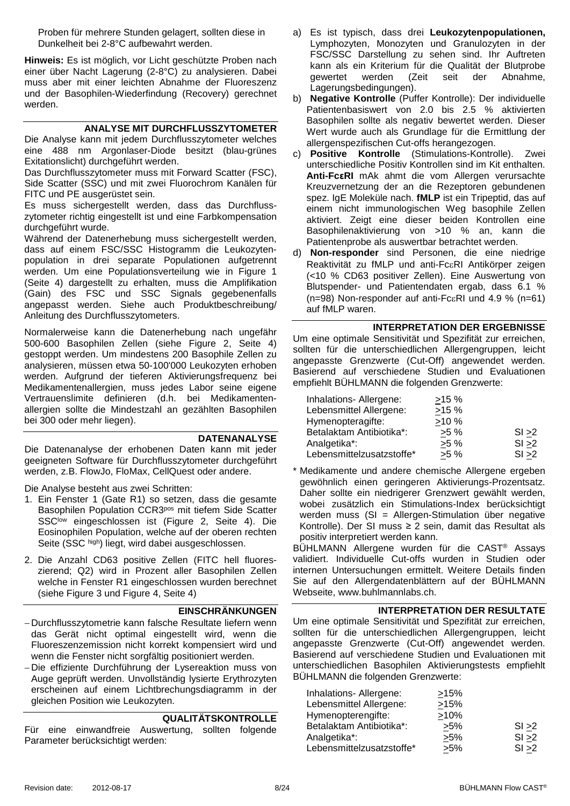Proben für mehrere Stunden gelagert, sollten diese in Dunkelheit bei 2-8°C aufbewahrt werden.

**Hinweis:** Es ist möglich, vor Licht geschützte Proben nach einer über Nacht Lagerung (2-8°C) zu analysieren. Dabei muss aber mit einer leichten Abnahme der Fluoreszenz und der Basophilen-Wiederfindung (Recovery) gerechnet werden.

#### **ANALYSE MIT DURCHFLUSSZYTOMETER**

<span id="page-7-0"></span>Die Analyse kann mit jedem Durchflusszytometer welches eine 488 nm Argonlaser-Diode besitzt (blau-grünes Exitationslicht) durchgeführt werden.

Das Durchflusszytometer muss mit Forward Scatter (FSC), Side Scatter (SSC) und mit zwei Fluorochrom Kanälen für FITC und PE ausgerüstet sein.

Es muss sichergestellt werden, dass das Durchflusszytometer richtig eingestellt ist und eine Farbkompensation durchgeführt wurde.

Während der Datenerhebung muss sichergestellt werden, dass auf einem FSC/SSC Histogramm die Leukozytenpopulation in drei separate Populationen aufgetrennt werden. Um eine Populationsverteilung wie in [Figure 1](#page-3-1) (Seite [4\)](#page-3-1) dargestellt zu erhalten, muss die Amplifikation (Gain) des FSC und SSC Signals gegebenenfalls angepasst werden. Siehe auch Produktbeschreibung/ Anleitung des Durchflusszytometers.

Normalerweise kann die Datenerhebung nach ungefähr 500-600 Basophilen Zellen (siehe [Figure 2,](#page-3-2) Seite [4\)](#page-3-1) gestoppt werden. Um mindestens 200 Basophile Zellen zu analysieren, müssen etwa 50-100'000 Leukozyten erhoben werden. Aufgrund der tieferen Aktivierungsfrequenz bei Medikamentenallergien, muss jedes Labor seine eigene Vertrauenslimite definieren (d.h. bei Medikamentenallergien sollte die Mindestzahl an gezählten Basophilen bei 300 oder mehr liegen).

#### **DATENANALYSE**

Die Datenanalyse der erhobenen Daten kann mit jeder geeigneten Software für Durchflusszytometer durchgeführt werden, z.B. FlowJo, FloMax, CellQuest oder andere.

Die Analyse besteht aus zwei Schritten:

- 1. Ein Fenster 1 (Gate R1) so setzen, dass die gesamte Basophilen Population CCR3pos mit tiefem Side Scatter SSC<sup>low</sup> eingeschlossen ist [\(Figure 2,](#page-3-2) Seite [4\)](#page-3-1). Die Eosinophilen Population, welche auf der oberen rechten Seite (SSC high) liegt, wird dabei ausgeschlossen.
- 2. Die Anzahl CD63 positive Zellen (FITC hell fluoreszierend; Q2) wird in Prozent aller Basophilen Zellen welche in Fenster R1 eingeschlossen wurden berechnet (siehe [Figure 3](#page-3-3) und [Figure 4,](#page-3-4) Seite [4\)](#page-3-4)

#### **EINSCHRÄNKUNGEN**

− Durchflusszytometrie kann falsche Resultate liefern wenn das Gerät nicht optimal eingestellt wird, wenn die Fluoreszenzemission nicht korrekt kompensiert wird und wenn die Fenster nicht sorgfältig positioniert werden.

− Die effiziente Durchführung der Lysereaktion muss von Auge geprüft werden. Unvollständig lysierte Erythrozyten erscheinen auf einem Lichtbrechungsdiagramm in der gleichen Position wie Leukozyten.

#### **QUALITÄTSKONTROLLE**

Für eine einwandfreie Auswertung, sollten folgende Parameter berücksichtigt werden:

- a) Es ist typisch, dass drei **Leukozytenpopulationen,** Lymphozyten, Monozyten und Granulozyten in der FSC/SSC Darstellung zu sehen sind. Ihr Auftreten kann als ein Kriterium für die Qualität der Blutprobe gewertet werden (Zeit seit der Abnahme, Lagerungsbedingungen).
- b) **Negative Kontrolle** (Puffer Kontrolle): Der individuelle Patientenbasiswert von 2.0 bis 2.5 % aktivierten Basophilen sollte als negativ bewertet werden. Dieser Wert wurde auch als Grundlage für die Ermittlung der allergenspezifischen Cut-offs herangezogen.
- c) **Positive Kontrolle** (Stimulations-Kontrolle). Zwei unterschiedliche Positiv Kontrollen sind im Kit enthalten. **Anti-FcεRI** mAk ahmt die vom Allergen verursachte Kreuzvernetzung der an die Rezeptoren gebundenen spez. IgE Moleküle nach. **fMLP** ist ein Tripeptid, das auf einem nicht immunologischen Weg basophile Zellen aktiviert. Zeigt eine dieser beiden Kontrollen eine Basophilenaktivierung von >10 % an, kann die Patientenprobe als auswertbar betrachtet werden.
- d) **Non-responder** sind Personen, die eine niedrige Reaktivität zu fMLP und anti-FcεRI Antikörper zeigen (<10 % CD63 positiver Zellen). Eine Auswertung von Blutspender- und Patientendaten ergab, dass 6.1 % (n=98) Non-responder auf anti-FcεRI und 4.9 % (n=61) auf fMLP waren.

#### **INTERPRETATION DER ERGEBNISSE**

Um eine optimale Sensitivität und Spezifität zur erreichen, sollten für die unterschiedlichen Allergengruppen, leicht angepasste Grenzwerte (Cut-Off) angewendet werden. Basierend auf verschiedene Studien und Evaluationen empfiehlt BÜHLMANN die folgenden Grenzwerte:

| Inhalations- Allergene:   | >15%   |        |
|---------------------------|--------|--------|
| Lebensmittel Allergene:   | >15%   |        |
| Hymenopteragifte:         | >10%   |        |
| Betalaktam Antibiotika*:  | $>5\%$ | SI > 2 |
| Analgetika*:              | $>5\%$ | SI > 2 |
| Lebensmittelzusatzstoffe* | $>5\%$ | SI > 2 |

\* Medikamente und andere chemische Allergene ergeben gewöhnlich einen geringeren Aktivierungs-Prozentsatz. Daher sollte ein niedrigerer Grenzwert gewählt werden, wobei zusätzlich ein Stimulations-Index berücksichtigt werden muss (SI = Allergen-Stimulation über negative Kontrolle). Der SI muss ≥ 2 sein, damit das Resultat als positiv interpretiert werden kann.

BÜHLMANN Allergene wurden für die CAST® Assays validiert. Individuelle Cut-offs wurden in Studien oder internen Untersuchungen ermittelt. Weitere Details finden Sie auf den Allergendatenblättern auf der BÜHLMANN Webseite, www.buhlmannlabs.ch.

#### **INTERPRETATION DER RESULTATE**

Um eine optimale Sensitivität und Spezifität zur erreichen, sollten für die unterschiedlichen Allergengruppen, leicht angepasste Grenzwerte (Cut-Off) angewendet werden. Basierend auf verschiedene Studien und Evaluationen mit unterschiedlichen Basophilen Aktivierungstests empfiehlt BÜHLMANN die folgenden Grenzwerte:

| Inhalations-Allergene:    | >15%    |        |
|---------------------------|---------|--------|
| Lebensmittel Allergene:   | >15%    |        |
| Hymenopterengifte:        | $>10\%$ |        |
| Betalaktam Antibiotika*:  | >5%     | SI > 2 |
| Analgetika*:              | >5%     | SI > 2 |
| Lebensmittelzusatzstoffe* | $>5\%$  | SI > 2 |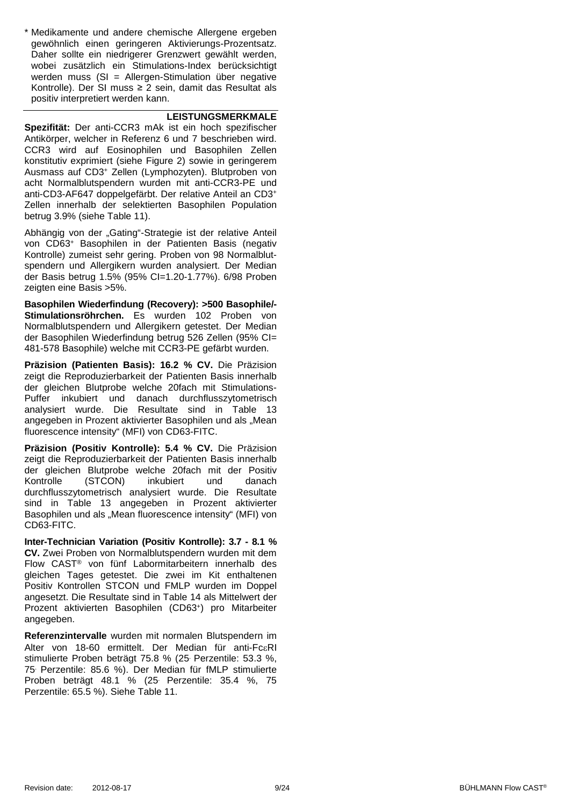\* Medikamente und andere chemische Allergene ergeben gewöhnlich einen geringeren Aktivierungs -Prozentsatz. Daher sollte ein niedrigerer Grenzwert gewählt werden , wobei zusätzlich ein Stimulations -Index berücksichtigt werden muss (SI = Allergen -Stimulation über negative Kontrolle). Der SI muss ≥ 2 sein, damit das Resultat als positiv interpretiert werden kann.

#### **LEISTUNGSMERKMALE**

**Spezifität:** Der anti -CCR3 mAk ist ein hoch spezifischer Antikörper, welcher in Referenz [6](#page-21-8) und [7](#page-21-9) beschrieben wird. CCR3 wird auf Eosinophilen und Basophilen Zellen konstitutiv exprimiert (siehe [Figure](#page-3-2)  2) sowie in geringerem Ausmass auf CD3 <sup>+</sup> Zellen (Lymphozyten). Blutproben von acht Normalblutspendern wurden mit anti -CCR3 -PE und anti -CD3 -AF647 doppelgefärbt. Der relative Anteil an CD3 + Zellen innerhalb der selektierten Basophilen Population betrug 3.9% (siehe [Table 11\)](#page-21-0).

Abhängig von der "Gating"-Strategie ist der relative Anteil von CD63 <sup>+</sup> Basophilen in der Patienten Basis (negativ Kontrolle) zumeist sehr gering. Proben von 98 Normalblut spendern und Allergikern wurden analysiert. Der Median der Basis betrug 1.5% (95% CI=1.20 -1.77%). 6/98 Proben zeigten eine Basis >5%.

**Basophilen Wiederfindung (Recovery): >500 Basophile/- Stimulationsröhrchen.** Es wurden 102 Proben von Normalblutspendern und Allergikern getestet. Der Median der Basophilen Wiederfindung betrug 526 Zellen (95% CI= 481 -578 Basophile) welche mit CCR3 -PE gefärbt wurden.

**Präzision (Patienten Basis): 16.2 % CV.** Die Präzision zeigt die Reproduzierbarkeit der Patienten Basis innerhalb der gleichen Blutprobe welche 20fach mit Stimulations - Puffer inkubiert und danach durchflusszytometrisch analysiert wurde. Die Resultate sind in [Table 13](#page-21-1) angegeben in Prozent aktivierter Basophilen und als "Mean fluorescence intensity" (MFI) von CD63 -FITC.

**Präzision (Positiv Kontrolle): 5.4 % CV.** Die Präzision zeigt die Reproduzierbarkeit der Patienten Basis innerhalb der gleichen Blutprobe welche 20fach mit der Positiv Kontrolle (STCON) inkubiert und danach durchflusszytometrisch analysiert wurde. Die Resultate sind in [Table 13](#page-21-1) angegeben in Prozent aktivierter Basophilen und als "Mean fluorescence intensity" (MFI) von CD63 -FITC.

**Inter -Technician Variation (Positiv Kontrolle): 3.7 - 8.1 % CV.** Zwei Proben von Normalblutspendern wurden mit dem Flow CAST ® von fünf Labormitarbeitern innerhalb des gleichen Tages getestet. Die zwei im Kit enthaltenen Positiv Kontrollen STCON und FMLP wurden im Doppel angesetzt. Die Resultate sind in [Table 14](#page-21-2) als Mittelwert der Prozent aktivierten Basophilen (CD63 +) pro Mitarbeiter angegeben.

**Referenzintervalle** wurden mit normalen Blutspendern im Alter von 18 -60 ermittelt. Der Median für anti -Fc εRI stimulierte Proben beträgt 75.8 % (25. Per zentile: 53.3 %, 75. Per zentile: 85.6 %). Der Median für fMLP stimulierte Proben beträgt 48.1 % (25. Perzentile: 35.4 %, 75 Perzentile: 65.5 %). Siehe [Table 11](#page-21-0) .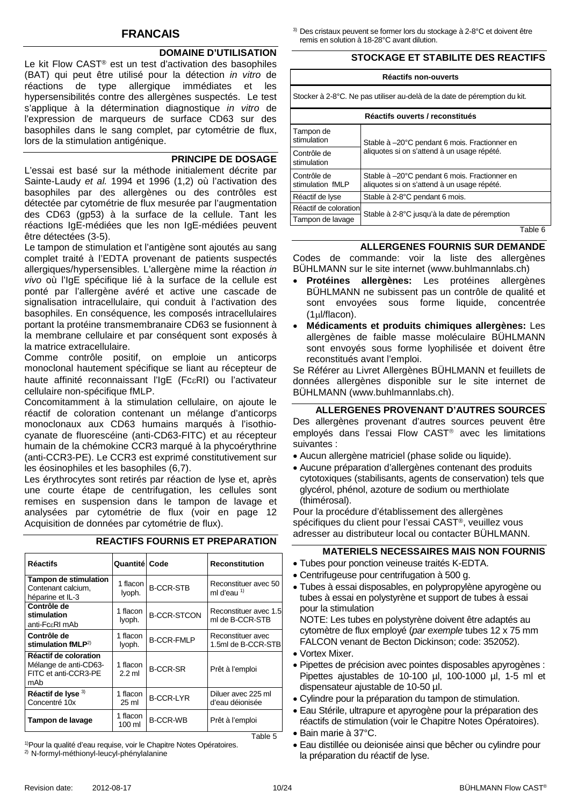## **FRANCAIS**

#### **DOMAINE D'UTILISATION**

Le kit Flow CAST® est un test d'activation des basophiles (BAT) qui peut être utilisé pour la détection *in vitro* de réactions de type allergique immédiates et les hypersensibilités contre des allergènes suspectés. Le test s'applique à la détermination diagnostique *in vitro* de l'expression de marqueurs de surface CD63 sur des basophiles dans le sang complet, par cytométrie de flux, lors de la stimulation antigénique.

#### **PRINCIPE DE DOSAGE**

L'essai est basé sur la méthode initialement décrite par Sainte-Laudy *et al.* 1994 et 1996 (1,2) où l'activation des basophiles par des allergènes ou des contrôles est détectée par cytométrie de flux mesurée par l'augmentation des CD63 (gp53) à la surface de la cellule. Tant les réactions IgE-médiées que les non IgE-médiées peuvent être détectées (3-5).

Le tampon de stimulation et l'antigène sont ajoutés au sang complet traité à l'EDTA provenant de patients suspectés allergiques/hypersensibles. L'allergène mime la réaction *in vivo* où l'IgE spécifique lié à la surface de la cellule est ponté par l'allergène avéré et active une cascade de signalisation intracellulaire, qui conduit à l'activation des basophiles. En conséquence, les composés intracellulaires portant la protéine transmembranaire CD63 se fusionnent à la membrane cellulaire et par conséquent sont exposés à la matrice extracellulaire.

Comme contrôle positif, on emploie un anticorps monoclonal hautement spécifique se liant au récepteur de haute affinité reconnaissant l'IgE (FcεRI) ou l'activateur cellulaire non-spécifique fMLP.

Concomitamment à la stimulation cellulaire, on ajoute le réactif de coloration contenant un mélange d'anticorps monoclonaux aux CD63 humains marqués à l'isothiocyanate de fluorescéine (anti-CD63-FITC) et au récepteur humain de la chémokine CCR3 marqué à la phycoérythrine (anti-CCR3-PE). Le CCR3 est exprimé constitutivement sur les éosinophiles et les basophiles (6,7).

Les érythrocytes sont retirés par réaction de lyse et, après une courte étape de centrifugation, les cellules sont remises en suspension dans le tampon de lavage et analysées par cytométrie de flux (voir en page [12](#page-11-0) Acquisition de données par cytométrie de flux).

| <b>Réactifs</b>                                                               | Quantitél Code     |                    | <b>Reconstitution</b>                    |
|-------------------------------------------------------------------------------|--------------------|--------------------|------------------------------------------|
| <b>Tampon de stimulation</b><br>Contenant calcium.<br>héparine et IL-3        | 1 flacon<br>lyoph. | <b>B-CCR-STB</b>   | Reconstituer avec 50<br>ml d'eau $1$     |
| Contrôle de<br>stimulation<br>anti-FcεRI mAb                                  | 1 flacon<br>lyoph. | <b>B-CCR-STCON</b> | Reconstituer avec 1.5<br>ml de B-CCR-STB |
| Contrôle de<br>stimulation $fMLP2$                                            | 1 flacon<br>lyoph. | <b>B-CCR-FMLP</b>  | Reconstituer avec<br>1.5ml de B-CCR-STB  |
| Réactif de coloration<br>Mélange de anti-CD63-<br>FITC et anti-CCR3-PE<br>mAb | 1 flacon<br>2.2 ml | <b>B-CCR-SR</b>    | Prêt à l'emploi                          |
| Réactif de lyse 3)<br>Concentré 10x                                           | 1 flacon<br>25 ml  | <b>B-CCR-LYR</b>   | Diluer avec 225 ml<br>d'eau déionisée    |
| Tampon de lavage                                                              | 1 flacon<br>100 ml | <b>B-CCR-WB</b>    | Prêt à l'emploi                          |
|                                                                               |                    |                    | Table 5                                  |

## **REACTIFS FOURNIS ET PREPARATION**

<sup>1)</sup>Pour la qualité d'eau requise, voir le Chapitre Notes Opératoires. 2) N-formyl-méthionyl-leucyl-phénylalanine

3) Des cristaux peuvent se former lors du stockage à 2-8°C et doivent être remis en solution à 18-28°C avant dilution.

#### **STOCKAGE ET STABILITE DES REACTIFS**

| Réactifs non-ouverts                                                      |                                                                                              |  |
|---------------------------------------------------------------------------|----------------------------------------------------------------------------------------------|--|
| Stocker à 2-8°C. Ne pas utiliser au-delà de la date de péremption du kit. |                                                                                              |  |
| Réactifs ouverts / reconstitués                                           |                                                                                              |  |
| Tampon de<br>stimulation                                                  | Stable à -20°C pendant 6 mois. Fractionner en                                                |  |
| Contrôle de<br>stimulation                                                | aliquotes si on s'attend à un usage répété.                                                  |  |
| Contrôle de<br>stimulation fMLP                                           | Stable à -20°C pendant 6 mois. Fractionner en<br>aliquotes si on s'attend à un usage répété. |  |
| Réactif de lyse                                                           | Stable à 2-8°C pendant 6 mois.                                                               |  |
| Réactif de coloration                                                     | Stable à 2-8°C jusqu'à la date de péremption                                                 |  |
| Tampon de lavage                                                          | — <u>11 A</u>                                                                                |  |

Table 6

#### **ALLERGENES FOURNIS SUR DEMANDE**

Codes de commande: voir la liste des allergènes BÜHLMANN sur le site internet (www.buhlmannlabs.ch)

- **Protéines allergènes:** Les protéines allergènes BÜHLMANN ne subissent pas un contrôle de qualité et sont envoyées sous forme liquide, concentrée (1µl/flacon).
- **Médicaments et produits chimiques allergènes:** Les allergènes de faible masse moléculaire BÜHLMANN sont envoyés sous forme lyophilisée et doivent être reconstitués avant l'emploi.

Se Référer au Livret Allergènes BÜHLMANN et feuillets de données allergènes disponible sur le site internet de BÜHLMANN (www.buhlmannlabs.ch).

## **ALLERGENES PROVENANT D'AUTRES SOURCES**

Des allergènes provenant d'autres sources peuvent être employés dans l'essai Flow CAST<sup>®</sup> avec les limitations suivantes :

- Aucun allergène matriciel (phase solide ou liquide).
- Aucune préparation d'allergènes contenant des produits cytotoxiques (stabilisants, agents de conservation) tels que glycérol, phénol, azoture de sodium ou merthiolate (thimérosal).

Pour la procédure d'établissement des allergènes spécifiques du client pour l'essai CAST®, veuillez vous adresser au distributeur local ou contacter BÜHLMANN.

## **MATERIELS NECESSAIRES MAIS NON FOURNIS**

- Tubes pour ponction veineuse traités K-EDTA.
- Centrifugeuse pour centrifugation à 500 g.
- Tubes à essai disposables, en polypropylène apyrogène ou tubes à essai en polystyrène et support de tubes à essai pour la stimulation

NOTE: Les tubes en polystyrène doivent être adaptés au cytomètre de flux employé (*par exemple* tubes 12 x 75 mm FALCON venant de Becton Dickinson; code: 352052).

- Vortex Mixer.
- Pipettes de précision avec pointes disposables apyrogènes : Pipettes ajustables de 10-100 µl, 100-1000 µl, 1-5 ml et dispensateur ajustable de 10-50 µl.
- Cylindre pour la préparation du tampon de stimulation.
- Eau Stérile, ultrapure et apyrogène pour la préparation des réactifs de stimulation (voir le Chapitre Notes Opératoires). • Bain marie à 37°C.
- 
- Eau distillée ou deionisée ainsi que bêcher ou cylindre pour la préparation du réactif de lyse.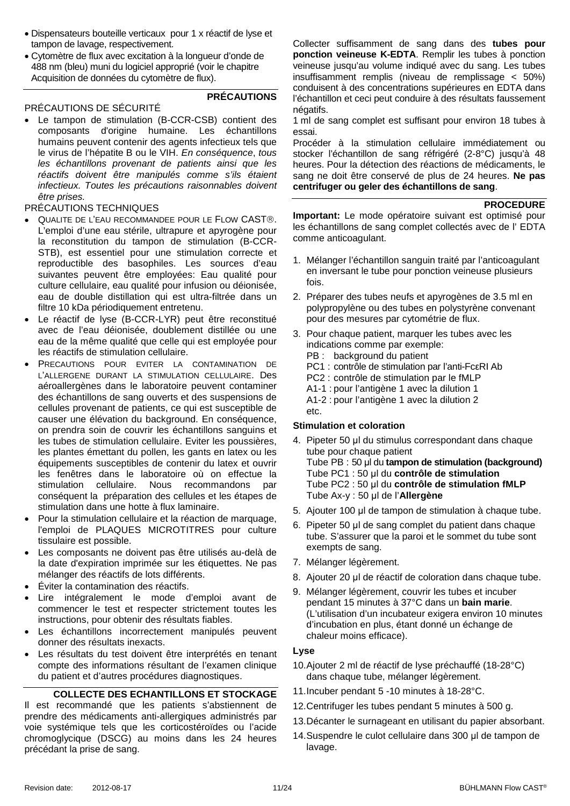- Dispensateurs bouteille verticaux pour 1 x réactif de lyse et tampon de lavage, respectivement.
- Cytomètre de flux avec excitation à la longueur d'onde de 488 nm (bleu) muni du logiciel approprié (voir le chapitre Acquisition de données du cytomètre de flux).

#### PRÉCAUTIONS DE SÉCURITÉ

## **PRÉCAUTIONS**

• Le tampon de stimulation (B-CCR-CSB) contient des composants d'origine humaine. Les échantillons humains peuvent contenir des agents infectieux tels que le virus de l'hépatite B ou le VIH. *En conséquence*, *tous les échantillons provenant de patients ainsi que les réactifs doivent être manipulés comme s'ils étaient infectieux. [Toutes les précautions](http://dict.leo.org/ende?lp=ende&p=eL4jU.&search=reasonable) [raisonnables](http://dict.leo.org/ende?lp=ende&p=eL4jU.&search=precautions) doivent être prises.*

#### PRÉCAUTIONS TECHNIQUES

- QUALITE DE L'EAU RECOMMANDEE POUR LE FLOW CAST®. L'emploi d'une eau stérile, ultrapure et apyrogène pour la reconstitution du tampon de stimulation (B-CCR-STB), est essentiel pour une stimulation correcte et reproductible des basophiles. Les sources d'eau suivantes peuvent être employées: Eau qualité pour culture cellulaire, eau qualité pour infusion ou déionisée, eau de double distillation qui est ultra-filtrée dans un filtre 10 kDa périodiquement entretenu.
- Le réactif de lyse (B-CCR-LYR) peut être reconstitué avec de l'eau déionisée, doublement distillée ou une eau de la même qualité que celle qui est employée pour les réactifs de stimulation cellulaire.
- PRECAUTIONS POUR EVITER LA CONTAMINATION DE L'ALLERGENE DURANT LA STIMULATION CELLULAIRE. Des aéroallergènes dans le laboratoire peuvent contaminer des échantillons de sang ouverts et des suspensions de cellules provenant de patients, ce qui est susceptible de causer une élévation du background. En conséquence, on prendra soin de couvrir les échantillons sanguins et les tubes de stimulation cellulaire. Eviter les poussières, les plantes émettant du pollen, les gants en latex ou les équipements susceptibles de contenir du latex et ouvrir les fenêtres dans le laboratoire où on effectue la stimulation cellulaire. Nous recommandons par conséquent la préparation des cellules et les étapes de stimulation dans une hotte à flux laminaire.
- Pour la stimulation cellulaire et la réaction de marquage, l'emploi de PLAQUES MICROTITRES pour culture tissulaire est possible.
- Les composants ne doivent pas être utilisés au-delà de la date d'expiration imprimée sur les étiquettes. Ne pas mélanger des réactifs de lots différents.
- Éviter la contamination des réactifs.
- Lire intégralement le mode d'emploi avant de commencer le test et respecter strictement toutes les instructions, pour obtenir des résultats fiables.
- Les échantillons incorrectement manipulés peuvent donner des résultats inexacts.
- Les résultats du test doivent être interprétés en tenant compte des informations résultant de l'examen clinique du patient et d'autres procédures diagnostiques.

## **COLLECTE DES ECHANTILLONS ET STOCKAGE**

Il est recommandé que les patients s'abstiennent de prendre des médicaments anti-allergiques administrés par voie systémique tels que les corticostéroïdes ou l'acide chromoglycique (DSCG) au moins dans les 24 heures précédant la prise de sang.

Collecter suffisamment de sang dans des **tubes pour ponction veineuse K-EDTA**. Remplir les tubes à ponction veineuse jusqu'au volume indiqué avec du sang. Les tubes insuffisamment remplis (niveau de remplissage < 50%) conduisent à des concentrations supérieures en EDTA dans l'échantillon et ceci peut conduire à des résultats faussement négatifs.

1 ml de sang complet est suffisant pour environ 18 tubes à essai.

Procéder à la stimulation cellulaire immédiatement ou stocker l'échantillon de sang réfrigéré (2-8°C) jusqu'à 48 heures. Pour la détection des réactions de médicaments, le sang ne doit être conservé de plus de 24 heures. **Ne pas centrifuger ou geler des échantillons de sang**.

#### **PROCEDURE**

**Important:** Le mode opératoire suivant est optimisé pour les échantillons de sang complet collectés avec de l' EDTA comme anticoagulant.

- 1. Mélanger l'échantillon sanguin traité par l'anticoagulant en inversant le tube pour ponction veineuse plusieurs fois.
- 2. Préparer des tubes neufs et apyrogènes de 3.5 ml en polypropylène ou des tubes en polystyrène convenant pour des mesures par cytométrie de flux.
- 3. Pour chaque patient, marquer les tubes avec les indications comme par exemple:
	- PB : background du patient
	- PC1 : contrôle de stimulation par l'anti-FcεRI Ab
	- PC2 : contrôle de stimulation par le fMLP
	- A1-1 : pour l'antigène 1 avec la dilution 1

A1-2 : pour l'antigène 1 avec la dilution 2 etc.

## **Stimulation et coloration**

- 4. Pipeter 50 μl du stimulus correspondant dans chaque tube pour chaque patient Tube PB : 50 μl du **tampon de stimulation (background)** Tube PC1 : 50 μl du **contrôle de stimulation** Tube PC2 : 50 μl du **contrôle de stimulation fMLP**  Tube Ax-y : 50 μl de l'**Allergène**
- 5. Ajouter 100 μl de tampon de stimulation à chaque tube.
- 6. Pipeter 50 μl de sang complet du patient dans chaque tube. S'assurer que la paroi et le sommet du tube sont exempts de sang.
- 7. Mélanger légèrement.
- 8. Ajouter 20 μl de réactif de coloration dans chaque tube.
- 9. Mélanger légèrement, couvrir les tubes et incuber pendant 15 minutes à 37°C dans un **bain marie**. (L'utilisation d'un incubateur exigera environ 10 minutes d'incubation en plus, étant donné un échange de chaleur moins efficace).

#### **Lyse**

- 10.Ajouter 2 ml de réactif de lyse préchauffé (18-28°C) dans chaque tube, mélanger légèrement.
- 11.Incuber pendant 5 -10 minutes à 18-28°C.
- 12.Centrifuger les tubes pendant 5 minutes à 500 g.
- 13.Décanter le surnageant en utilisant du papier absorbant.
- 14.Suspendre le culot cellulaire dans 300 μl de tampon de lavage.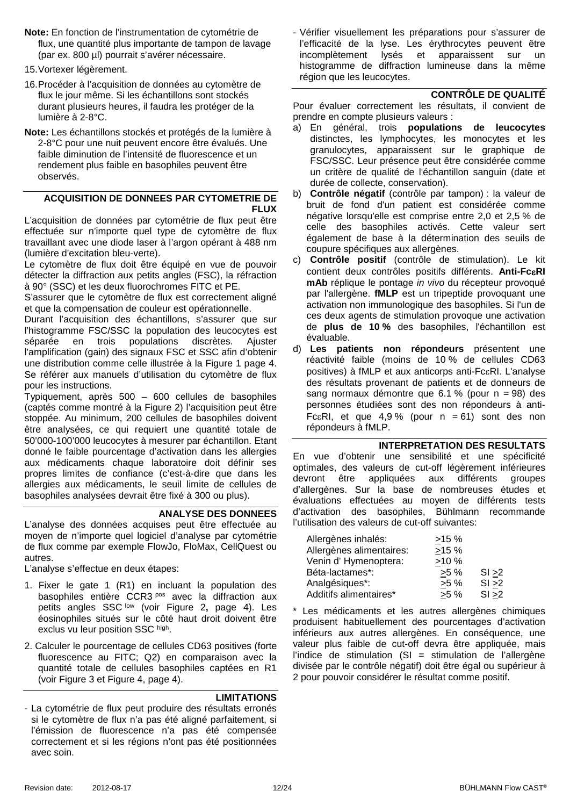- **Note:** En fonction de l'instrumentation de cytométrie de flux, une quantité plus importante de tampon de lavage (par ex. 800 µl) pourrait s'avérer nécessaire.
- 15.Vortexer légèrement.
- 16.Procéder à l'acquisition de données au cytomètre de flux le jour même. Si les échantillons sont stockés durant plusieurs heures, il faudra les protéger de la lumière à 2-8°C.
- **Note:** Les échantillons stockés et protégés de la lumière à 2-8°C pour une nuit peuvent encore être évalués. Une faible diminution de l'intensité de fluorescence et un rendement plus faible en basophiles peuvent être observés.

#### <span id="page-11-0"></span>**ACQUISITION DE DONNEES PAR CYTOMETRIE DE FLUX**

L'acquisition de données par cytométrie de flux peut être effectuée sur n'importe quel type de cytomètre de flux travaillant avec une diode laser à l'argon opérant à 488 nm (lumière d'excitation bleu-verte).

Le cytomètre de flux doit être équipé en vue de pouvoir détecter la diffraction aux petits angles (FSC), la réfraction à 90° (SSC) et les deux fluorochromes FITC et PE.

S'assurer que le cytomètre de flux est correctement aligné et que la compensation de couleur est opérationnelle.

Durant l'acquisition des échantillons, s'assurer que sur l'histogramme FSC/SSC la population des leucocytes est séparée en trois populations discrètes. Ajuster l'amplification (gain) des signaux FSC et SSC afin d'obtenir une distribution comme celle illustrée à la [Figure 1](#page-3-1) page [4.](#page-3-1) Se référer aux manuels d'utilisation du cytomètre de flux pour les instructions.

Typiquement, après 500 – 600 cellules de basophiles (captés comme montré à la Figure 2) l'acquisition peut être stoppée. Au minimum, 200 cellules de basophiles doivent être analysées, ce qui requiert une quantité totale de 50'000-100'000 leucocytes à mesurer par échantillon. Etant donné le faible pourcentage d'activation dans les allergies aux médicaments chaque laboratoire doit définir ses propres limites de confiance (c'est-à-dire que dans les allergies aux médicaments, le seuil limite de cellules de basophiles analysées devrait être fixé à 300 ou plus).

## **ANALYSE DES DONNEES**

L'analyse des données acquises peut être effectuée au moyen de n'importe quel logiciel d'analyse par cytométrie de flux comme par exemple FlowJo, FloMax, CellQuest ou autres.

L'analyse s'effectue en deux étapes:

- 1. Fixer le gate 1 (R1) en incluant la population des basophiles entière CCR3 pos avec la diffraction aux petits angles SSC low (voir [Figure 2](#page-3-2)**,** page [4\)](#page-3-1). Les éosinophiles situés sur le côté haut droit doivent être exclus vu leur position SSC high.
- 2. Calculer le pourcentage de cellules CD63 positives (forte fluorescence au FITC; Q2) en comparaison avec la quantité totale de cellules basophiles captées en R1 (voir [Figure 3](#page-3-3) et [Figure](#page-3-4) 4, page [4\)](#page-3-1).

## **LIMITATIONS**

- La cytométrie de flux peut produire des résultats erronés si le cytomètre de flux n'a pas été aligné parfaitement, si l'émission de fluorescence n'a pas été compensée correctement et si les régions n'ont pas été positionnées avec soin.

- Vérifier visuellement les préparations pour s'assurer de l'efficacité de la lyse. Les érythrocytes peuvent être incomplètement lysés et apparaissent sur un histogramme de diffraction lumineuse dans la même région que les leucocytes.

## **CONTRÔLE DE QUALITÉ**

Pour évaluer correctement les résultats, il convient de prendre en compte plusieurs valeurs :

- a) En général, trois **populations de leucocytes** distinctes, les lymphocytes, les monocytes et les granulocytes, apparaissent sur le graphique de FSC/SSC. Leur présence peut être considérée comme un critère de qualité de l'échantillon sanguin (date et durée de collecte, conservation).
- b) **Contrôle négatif** (contrôle par tampon) : la valeur de bruit de fond d'un patient est considérée comme négative lorsqu'elle est comprise entre 2,0 et 2,5 % de celle des basophiles activés. Cette valeur sert également de base à la détermination des seuils de coupure spécifiques aux allergènes.
- c) **Contrôle positif** (contrôle de stimulation). Le kit contient deux contrôles positifs différents. **Anti-Fc**ε**RI mAb** réplique le pontage *in vivo* du récepteur provoqué par l'allergène. **fMLP** est un tripeptide provoquant une activation non immunologique des basophiles. Si l'un de ces deux agents de stimulation provoque une activation de **plus de 10 %** des basophiles, l'échantillon est évaluable.
- d) **Les patients non répondeurs** présentent une réactivité faible (moins de 10 % de cellules CD63 positives) à fMLP et aux anticorps anti-FcεRI. L'analyse des résultats provenant de patients et de donneurs de sang normaux démontre que 6.1 % (pour n = 98) des personnes étudiées sont des non répondeurs à anti-Fc $\epsilon$ RI, et que 4,9% (pour n = 61) sont des non répondeurs à fMLP.

## **INTERPRETATION DES RESULTATS**

En vue d'obtenir une sensibilité et une spécificité optimales, des valeurs de cut-off légèrement inférieures devront être appliquées aux différents groupes d'allergènes. Sur la base de nombreuses études et évaluations effectuées au moyen de différents tests d'activation des basophiles, Bühlmann recommande l'utilisation des valeurs de cut-off suivantes:

| Allergènes inhalés:      | >15%   |        |
|--------------------------|--------|--------|
| Allergènes alimentaires: | >15%   |        |
| Venin d' Hymenoptera:    | >10%   |        |
| Béta-lactames*:          | $>5\%$ | SI > 2 |
| Analgésiques*:           | $>5\%$ | SI > 2 |
| Additifs alimentaires*   | $>5\%$ | SI > 2 |

\* Les médicaments et les autres allergènes chimiques produisent habituellement des pourcentages d'activation inférieurs aux autres allergènes. En conséquence, une valeur plus faible de cut-off devra être appliquée, mais l'indice de stimulation  $(S)$  = stimulation de l'allergène divisée par le contrôle négatif) doit être égal ou supérieur à 2 pour pouvoir considérer le résultat comme positif.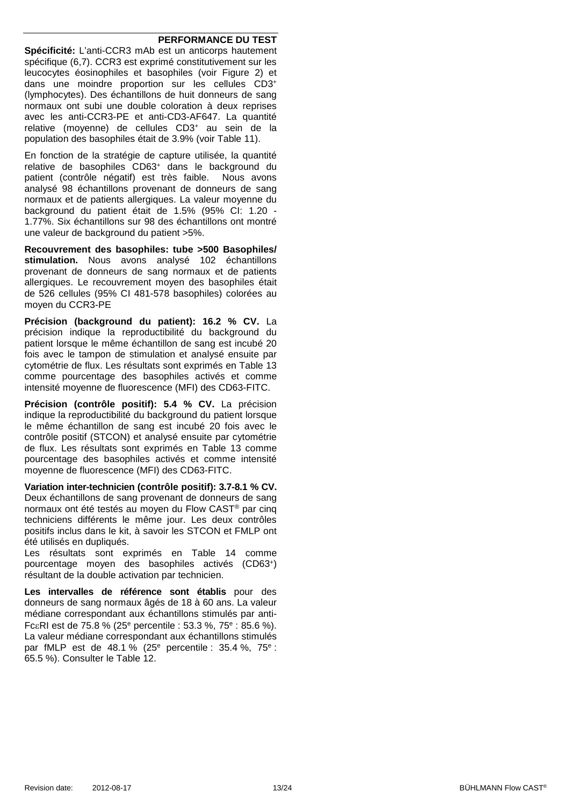#### **PERFORMANCE DU TEST**

**Spécificité:** L'anti-CCR3 mAb est un anticorps hautement spécifique (6.7). CCR3 est exprimé constitutivement sur les leucocytes éosinophiles et basophiles (voir Figure 2) et dans une moindre proportion sur les cellules CD3+ (lymphocytes). Des échantillons de huit donneurs de sang normaux ont subi une double coloration à deux reprises avec les anti-CCR3-PE et anti-CD3-AF647. La quantité relative (moyenne) de cellules CD3+ au sein de la population des basophiles était de 3.9% (voir [Table 11\)](#page-21-0).

En fonction de la stratégie de capture utilisée, la quantité relative de basophiles CD63+ dans le background du patient (contrôle négatif) est très faible. Nous avons analysé 98 échantillons provenant de donneurs de sang normaux et de patients allergiques. La valeur moyenne du background du patient était de 1.5% (95% CI: 1.20 - 1.77%. Six échantillons sur 98 des échantillons ont montré une valeur de background du patient >5%.

**Recouvrement des basophiles: tube >500 Basophiles/ stimulation.** Nous avons analysé 102 échantillons provenant de donneurs de sang normaux et de patients allergiques. Le recouvrement moven des basophiles était de 526 cellules (95% CI 481-578 basophiles) colorées au moyen du CCR3-PE

**Précision (background du patient): 16.2 % CV.** La précision indique la reproductibilité du background du patient lorsque le même échantillon de sang est incubé 20 fois avec le tampon de stimulation et analysé ensuite par cytométrie de flux. Les résultats sont exprimés en [Table 13](#page-21-1) comme pourcentage des basophiles activés et comme intensité moyenne de fluorescence (MFI) des CD63-FITC.

**Précision (contrôle positif): 5.4 % CV.** La précision indique la reproductibilité du background du patient lorsque le même échantillon de sang est incubé 20 fois avec le contrôle positif (STCON) et analysé ensuite par cytométrie de flux. Les résultats sont exprimés en [Table 13](#page-21-1) comme pourcentage des basophiles activés et comme intensité moyenne de fluorescence (MFI) des CD63-FITC.

**Variation inter-technicien (contrôle positif): 3.7-8.1 % CV.** Deux échantillons de sang provenant de donneurs de sang normaux ont été testés au moyen du Flow CAST® par cinq techniciens différents le même jour. Les deux contrôles positifs inclus dans le kit, à savoir les STCON et FMLP ont été utilisés en dupliqués.

Les résultats sont exprimés en [Table 14](#page-21-2) comme pourcentage moyen des basophiles activés (CD63+) résultant de la double activation par technicien.

**Les intervalles de référence sont établis** pour des donneurs de sang normaux âgés de 18 à 60 ans. La valeur médiane correspondant aux échantillons stimulés par anti-FcεRI est de 75.8 % (25e percentile : 53.3 %, 75e : 85.6 %). La valeur médiane correspondant aux échantillons stimulés par fMLP est de 48.1 % (25e percentile : 35.4 %, 75e : 65.5 %). Consulter le [Table 12.](#page-21-3)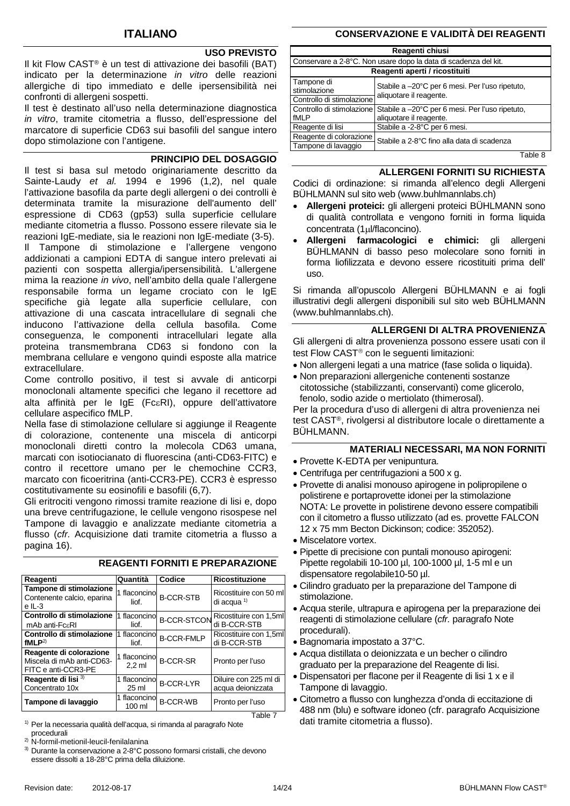## **USO PREVISTO**

Il kit Flow CAST® è un test di attivazione dei basofili (BAT) indicato per la determinazione *in vitro* delle reazioni allergiche di tipo immediato e delle ipersensibilità nei confronti di allergeni sospetti.

Il test è destinato all'uso nella determinazione diagnostica *in vitro*, tramite citometria a flusso, dell'espressione del marcatore di superficie CD63 sui basofili del sangue intero dopo stimolazione con l'antigene.

#### **PRINCIPIO DEL DOSAGGIO**

Il test si basa sul metodo originariamente descritto da Sainte-Laudy *et al.* 1994 e 1996 (1,2), nel quale l'attivazione basofila da parte degli allergeni o dei controlli è determinata tramite la misurazione dell'aumento dell' espressione di CD63 (gp53) sulla superficie cellulare mediante citometria a flusso. Possono essere rilevate sia le reazioni IgE-mediate, sia le reazioni non IgE-mediate (3-5). Il Tampone di stimolazione e l'allergene vengono addizionati a campioni EDTA di sangue intero prelevati ai pazienti con sospetta allergia/ipersensibilità. L'allergene mima la reazione *in vivo*, nell'ambito della quale l'allergene responsabile forma un legame crociato con le IgE specifiche già legate alla superficie cellulare, con attivazione di una cascata intracellulare di segnali che inducono l'attivazione della cellula basofila. Come conseguenza, le componenti intracellulari legate alla proteina transmembrana CD63 si fondono con la membrana cellulare e vengono quindi esposte alla matrice extracellulare.

Come controllo positivo, il test si avvale di anticorpi monoclonali altamente specifici che legano il recettore ad alta affinità per le IgE (FcεRI), oppure dell'attivatore cellulare aspecifico fMLP.

Nella fase di stimolazione cellulare si aggiunge il Reagente di colorazione, contenente una miscela di anticorpi monoclonali diretti contro la molecola CD63 umana, marcati con isotiocianato di fluorescina (anti-CD63-FITC) e contro il recettore umano per le chemochine CCR3, marcato con ficoeritrina (anti-CCR3-PE). CCR3 è espresso costitutivamente su eosinofili e basofili (6,7).

Gli eritrociti vengono rimossi tramite reazione di lisi e, dopo una breve centrifugazione, le cellule vengono risospese nel Tampone di lavaggio e analizzate mediante citometria a flusso (*cfr.* Acquisizione dati tramite citometria a flusso a pagina [16\)](#page-15-0).

| Reagenti                                                                    | Quantità                 | Codice             | <b>Ricostituzione</b>                      |
|-----------------------------------------------------------------------------|--------------------------|--------------------|--------------------------------------------|
| Tampone di stimolazione<br>Contenente calcio, eparina<br>$e$ IL-3           | 1 flaconcino<br>liof.    | <b>B-CCR-STB</b>   | Ricostituire con 50 ml<br>di acqua $1$     |
| Controllo di stimolazione<br>mAb anti-FcaRI                                 | flaconcino<br>liof.      | <b>B-CCR-STCON</b> | Ricostituire con 1,5ml<br>di B-CCR-STB     |
| Controllo di stimolazione l1 flaconcino<br>fMI $P2$                         | liof.                    | <b>B-CCR-FMLP</b>  | Ricostituire con 1,5ml<br>di B-CCR-STB     |
| Reagente di colorazione<br>Miscela di mAb anti-CD63-<br>FITC e anti-CCR3-PE | 1 flaconcino<br>$2.2$ ml | <b>B-CCR-SR</b>    | Pronto per l'uso                           |
| Reagente di lisi <sup>3)</sup><br>Concentrato 10x                           | 1 flaconcino<br>$25$ ml  | <b>B-CCR-LYR</b>   | Diluire con 225 ml di<br>acqua deionizzata |
| Tampone di lavaggio                                                         | 1 flaconcino<br>100 ml   | <b>B-CCR-WB</b>    | Pronto per l'uso                           |
|                                                                             |                          |                    | Table 7                                    |

**REAGENTI FORNITI E PREPARAZIONE**

<sup>1)</sup> Per la necessaria qualità dell'acqua, si rimanda al paragrafo Note procedurali

2) N-formil-metionil-leucil-fenilalanina

3) Durante la conservazione a 2-8°C possono formarsi cristalli, che devono essere dissolti a 18-28°C prima della diluizione.

## **CONSERVAZIONE E VALIDITÀ DEI REAGENTI**

| Reagenti chiusi                                                                                                 |                                                                 |  |
|-----------------------------------------------------------------------------------------------------------------|-----------------------------------------------------------------|--|
|                                                                                                                 | Conservare a 2-8°C. Non usare dopo la data di scadenza del kit. |  |
|                                                                                                                 | Reagenti aperti / ricostituiti                                  |  |
| Tampone di<br>stimolazione                                                                                      | Stabile a -20°C per 6 mesi. Per l'uso ripetuto,                 |  |
| aliquotare il reagente.<br>Controllo di stimolazione                                                            |                                                                 |  |
| Controllo di stimolazione<br>Stabile a -20°C per 6 mesi. Per l'uso ripetuto,<br>aliquotare il reagente.<br>fMLP |                                                                 |  |
| Reagente di lisi                                                                                                | Stabile a -2-8°C per 6 mesi.                                    |  |
| Reagente di colorazione                                                                                         | Stabile a 2-8°C fino alla data di scadenza                      |  |
| Tampone di lavaggio                                                                                             |                                                                 |  |

Table 8

#### **ALLERGENI FORNITI SU RICHIESTA**

Codici di ordinazione: si rimanda all'elenco degli Allergeni BÜHLMANN sul sito web (www.buhlmannlabs.ch)

- **Allergeni proteici:** gli allergeni proteici BÜHLMANN sono di qualità controllata e vengono forniti in forma liquida concentrata (1µl/flaconcino).
- **Allergeni farmacologici e chimici:** gli allergeni BÜHLMANN di basso peso molecolare sono forniti in forma liofilizzata e devono essere ricostituiti prima dell' uso.

Si rimanda all'opuscolo Allergeni BÜHLMANN e ai fogli illustrativi degli allergeni disponibili sul sito web BÜHLMANN (www.buhlmannlabs.ch).

#### **ALLERGENI DI ALTRA PROVENIENZA**

Gli allergeni di altra provenienza possono essere usati con il test Flow CAST<sup>®</sup> con le seguenti limitazioni:

- Non allergeni legati a una matrice (fase solida o liquida).
- Non preparazioni allergeniche contenenti sostanze citotossiche (stabilizzanti, conservanti) come glicerolo, fenolo, sodio azide o mertiolato (thimerosal).

Per la procedura d'uso di allergeni di altra provenienza nei test CAST®, rivolgersi al distributore locale o direttamente a BÜHLMANN.

## **MATERIALI NECESSARI, MA NON FORNITI**

- Provette K-EDTA per venipuntura.
- Centrifuga per centrifugazioni a 500 x g.
- Provette di analisi monouso apirogene in polipropilene o polistirene e portaprovette idonei per la stimolazione NOTA: Le provette in polistirene devono essere compatibili con il citometro a flusso utilizzato (ad es. provette FALCON 12 x 75 mm Becton Dickinson; codice: 352052).
- Miscelatore vortex.
- Pipette di precisione con puntali monouso apirogeni: Pipette regolabili 10-100 µl, 100-1000 µl, 1-5 ml e un dispensatore regolabile10-50 µl.
- Cilindro graduato per la preparazione del Tampone di stimolazione.
- Acqua sterile, ultrapura e apirogena per la preparazione dei reagenti di stimolazione cellulare (*cfr.* paragrafo Note procedurali).
- Bagnomaria impostato a 37°C.
- Acqua distillata o deionizzata e un becher o cilindro graduato per la preparazione del Reagente di lisi.
- Dispensatori per flacone per il Reagente di lisi 1 x e il Tampone di lavaggio.
- Citometro a flusso con lunghezza d'onda di eccitazione di 488 nm (blu) e software idoneo (cfr. paragrafo Acquisizione dati tramite citometria a flusso).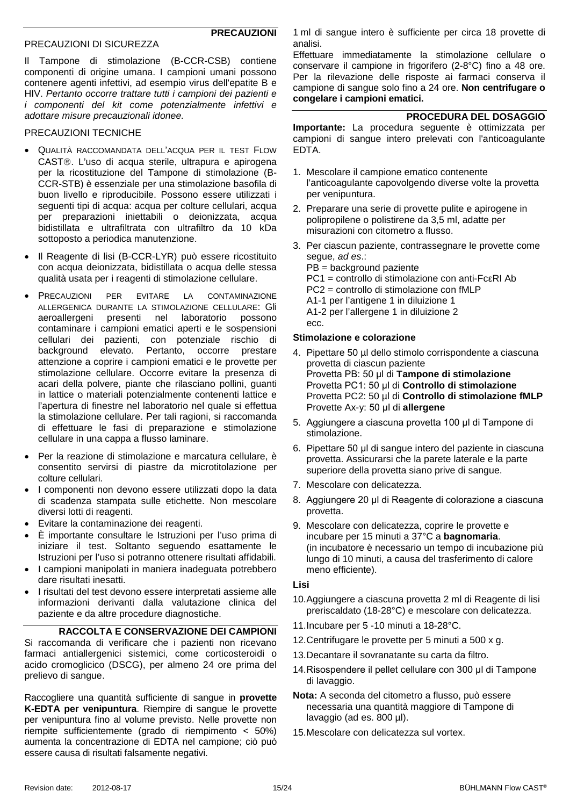#### PRECAUZIONI DI SICUREZZA

**PRECAUZIONI**

Il Tampone di stimolazione (B-CCR-CSB) contiene componenti di origine umana. I campioni umani possono contenere agenti infettivi, ad esempio virus dell'epatite B e HIV. *Pertanto occorre trattare tutti i campioni dei pazienti e i componenti del kit come potenzialmente infettivi e adottare misure precauzionali idonee.*

#### PRECAUZIONI TECNICHE

- QUALITÀ RACCOMANDATA DELL'ACQUA PER IL TEST FLOW CAST®. L'uso di acqua sterile, ultrapura e apirogena per la ricostituzione del Tampone di stimolazione (B-CCR-STB) è essenziale per una stimolazione basofila di buon livello e riproducibile. Possono essere utilizzati i seguenti tipi di acqua: acqua per colture cellulari, acqua per preparazioni iniettabili o deionizzata, acqua bidistillata e ultrafiltrata con ultrafiltro da 10 kDa sottoposto a periodica manutenzione.
- Il Reagente di lisi (B-CCR-LYR) può essere ricostituito con acqua deionizzata, bidistillata o acqua delle stessa qualità usata per i reagenti di stimolazione cellulare.
- PRECAUZIONI PER EVITARE LA CONTAMINAZIONE ALLERGENICA DURANTE LA STIMOLAZIONE CELLULARE: Gli aeroallergeni presenti nel laboratorio possono contaminare i campioni ematici aperti e le sospensioni cellulari dei pazienti, con potenziale rischio di background elevato. Pertanto, occorre prestare attenzione a coprire i campioni ematici e le provette per stimolazione cellulare. Occorre evitare la presenza di acari della polvere, piante che rilasciano pollini, guanti in lattice o materiali potenzialmente contenenti lattice e l'apertura di finestre nel laboratorio nel quale si effettua la stimolazione cellulare. Per tali ragioni, si raccomanda di effettuare le fasi di preparazione e stimolazione cellulare in una cappa a flusso laminare.
- Per la reazione di stimolazione e marcatura cellulare, è consentito servirsi di piastre da microtitolazione per colture cellulari.
- I componenti non devono essere utilizzati dopo la data di scadenza stampata sulle etichette. Non mescolare diversi lotti di reagenti.
- Evitare la contaminazione dei reagenti.
- È importante consultare le Istruzioni per l'uso prima di iniziare il test. Soltanto seguendo esattamente le Istruzioni per l'uso si potranno ottenere risultati affidabili.
- I campioni manipolati in maniera inadeguata potrebbero dare risultati inesatti.
- I risultati del test devono essere interpretati assieme alle informazioni derivanti dalla valutazione clinica del paziente e da altre procedure diagnostiche.

#### **RACCOLTA E CONSERVAZIONE DEI CAMPIONI** Si raccomanda di verificare che i pazienti non ricevano farmaci antiallergenici sistemici, come corticosteroidi o acido cromoglicico (DSCG), per almeno 24 ore prima del prelievo di sangue.

Raccogliere una quantità sufficiente di sangue in **provette K-EDTA per venipuntura**. Riempire di sangue le provette per venipuntura fino al volume previsto. Nelle provette non riempite sufficientemente (grado di riempimento < 50%) aumenta la concentrazione di EDTA nel campione; ciò può essere causa di risultati falsamente negativi.

1 ml di sangue intero è sufficiente per circa 18 provette di analisi.

Effettuare immediatamente la stimolazione cellulare o conservare il campione in frigorifero (2-8°C) fino a 48 ore. Per la rilevazione delle risposte ai farmaci conserva il campione di sangue solo fino a 24 ore. **Non centrifugare o congelare i campioni ematici.**

## **PROCEDURA DEL DOSAGGIO**

**Importante:** La procedura seguente è ottimizzata per campioni di sangue intero prelevati con l'anticoagulante EDTA.

- 1. Mescolare il campione ematico contenente l'anticoagulante capovolgendo diverse volte la provetta per venipuntura.
- 2. Preparare una serie di provette pulite e apirogene in polipropilene o polistirene da 3,5 ml, adatte per misurazioni con citometro a flusso.
- 3. Per ciascun paziente, contrassegnare le provette come segue, *ad es*.:

PB = background paziente PC1 = controllo di stimolazione con anti-FcεRI Ab PC2 = controllo di stimolazione con fMLP A1-1 per l'antigene 1 in diluizione 1 A1-2 per l'allergene 1 in diluizione 2 ecc.

#### **Stimolazione e colorazione**

- 4. Pipettare 50 µl dello stimolo corrispondente a ciascuna provetta di ciascun paziente Provetta PB: 50 μl di **Tampone di stimolazione** Provetta PC1: 50 μl di **Controllo di stimolazione** Provetta PC2: 50 µl di **Controllo di stimolazione fMLP**  Provette Ax-y: 50 μl di **allergene**
- 5. Aggiungere a ciascuna provetta 100 μl di Tampone di stimolazione.
- 6. Pipettare 50 μl di sangue intero del paziente in ciascuna provetta. Assicurarsi che la parete laterale e la parte superiore della provetta siano prive di sangue.
- 7. Mescolare con delicatezza.
- 8. Aggiungere 20 μl di Reagente di colorazione a ciascuna provetta.
- 9. Mescolare con delicatezza, coprire le provette e incubare per 15 minuti a 37°C a **bagnomaria**. (in incubatore è necessario un tempo di incubazione più lungo di 10 minuti, a causa del trasferimento di calore meno efficiente).

**Lisi**

- 10.Aggiungere a ciascuna provetta 2 ml di Reagente di lisi preriscaldato (18-28°C) e mescolare con delicatezza.
- 11.Incubare per 5 -10 minuti a 18-28°C.
- 12.Centrifugare le provette per 5 minuti a 500 x g.
- 13.Decantare il sovranatante su carta da filtro.
- 14.Risospendere il pellet cellulare con 300 μl di Tampone di lavaggio.
- **Nota:** A seconda del citometro a flusso, può essere necessaria una quantità maggiore di Tampone di lavaggio (ad es. 800 µl).
- 15.Mescolare con delicatezza sul vortex.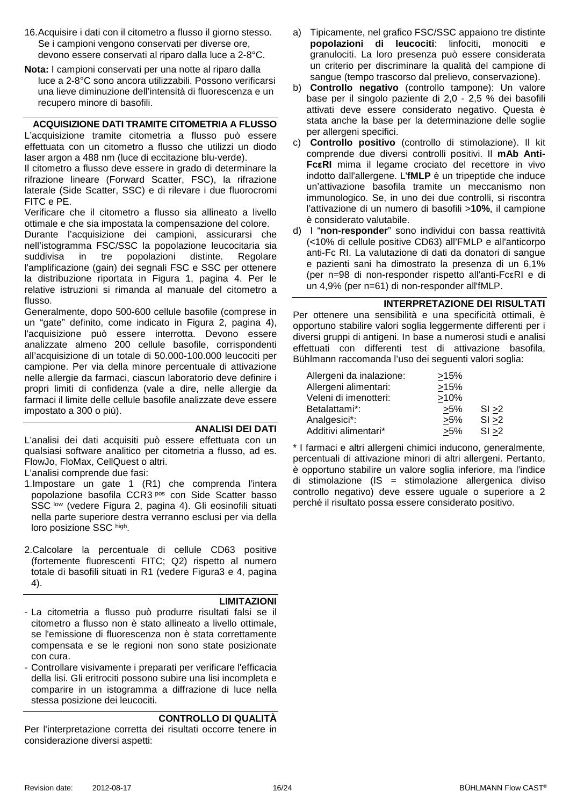- 16.Acquisire i dati con il citometro a flusso il giorno stesso. Se i campioni vengono conservati per diverse ore, devono essere conservati al riparo dalla luce a 2-8°C.
- **Nota:** I campioni conservati per una notte al riparo dalla luce a 2-8°C sono ancora utilizzabili. Possono verificarsi una lieve diminuzione dell'intensità di fluorescenza e un recupero minore di basofili.

## <span id="page-15-0"></span>**ACQUISIZIONE DATI TRAMITE CITOMETRIA A FLUSSO**

L'acquisizione tramite citometria a flusso può essere effettuata con un citometro a flusso che utilizzi un diodo laser argon a 488 nm (luce di eccitazione blu-verde).

Il citometro a flusso deve essere in grado di determinare la rifrazione lineare (Forward Scatter, FSC), la rifrazione laterale (Side Scatter, SSC) e di rilevare i due fluorocromi FITC e PE.

Verificare che il citometro a flusso sia allineato a livello ottimale e che sia impostata la compensazione del colore.

Durante l'acquisizione dei campioni, assicurarsi che nell'istogramma FSC/SSC la popolazione leucocitaria sia<br>suddivisa in tre popolazioni distinte. Regolare popolazioni distinte. Regolare l'amplificazione (gain) dei segnali FSC e SSC per ottenere la distribuzione riportata in Figura 1, pagina [4.](#page-3-1) Per le relative istruzioni si rimanda al manuale del citometro a flusso.

Generalmente, dopo 500-600 cellule basofile (comprese in un "gate" definito, come indicato in Figura 2, pagina [4\)](#page-3-1), l'acquisizione può essere interrotta. Devono essere analizzate almeno 200 cellule basofile, corrispondenti all'acquisizione di un totale di 50.000-100.000 leucociti per campione. Per via della minore percentuale di attivazione nelle allergie da farmaci, ciascun laboratorio deve definire i propri limiti di confidenza (vale a dire, nelle allergie da farmaci il limite delle cellule basofile analizzate deve essere impostato a 300 o più).

## **ANALISI DEI DATI**

L'analisi dei dati acquisiti può essere effettuata con un qualsiasi software analitico per citometria a flusso, ad es. FlowJo, FloMax, CellQuest o altri.

L'analisi comprende due fasi:

- 1.Impostare un gate 1 (R1) che comprenda l'intera popolazione basofila CCR3 pos con Side Scatter basso SSC low (vedere Figura 2, pagina [4\)](#page-3-1). Gli eosinofili situati nella parte superiore destra verranno esclusi per via della loro posizione SSC high.
- 2.Calcolare la percentuale di cellule CD63 positive (fortemente fluorescenti FITC; Q2) rispetto al numero totale di basofili situati in R1 (vedere Figura3 e 4, pagina [4\)](#page-3-1).

#### **LIMITAZIONI**

- La citometria a flusso può produrre risultati falsi se il citometro a flusso non è stato allineato a livello ottimale, se l'emissione di fluorescenza non è stata correttamente compensata e se le regioni non sono state posizionate con cura.
- Controllare visivamente i preparati per verificare l'efficacia della lisi. Gli eritrociti possono subire una lisi incompleta e comparire in un istogramma a diffrazione di luce nella stessa posizione dei leucociti.

## **CONTROLLO DI QUALITÀ**

Per l'interpretazione corretta dei risultati occorre tenere in considerazione diversi aspetti:

- a) Tipicamente, nel grafico FSC/SSC appaiono tre distinte **popolazioni di leucociti**: linfociti, monociti e granulociti. La loro presenza può essere considerata un criterio per discriminare la qualità del campione di sangue (tempo trascorso dal prelievo, conservazione).
- b) **Controllo negativo** (controllo tampone): Un valore base per il singolo paziente di 2,0 - 2,5 % dei basofili attivati deve essere considerato negativo. Questa è stata anche la base per la determinazione delle soglie per allergeni specifici.
- c) **Controllo positivo** (controllo di stimolazione). Il kit comprende due diversi controlli positivi. Il **mAb Anti-FcεRI** mima il legame crociato del recettore in vivo indotto dall'allergene. L'**fMLP** è un tripeptide che induce un'attivazione basofila tramite un meccanismo non immunologico. Se, in uno dei due controlli, si riscontra l'attivazione di un numero di basofili >**10%**, il campione è considerato valutabile.
- d) I "**non-responder**" sono individui con bassa reattività (<10% di cellule positive CD63) all'FMLP e all'anticorpo anti-Fc RI. La valutazione di dati da donatori di sangue e pazienti sani ha dimostrato la presenza di un 6,1% (per n=98 di non-responder rispetto all'anti-FcεRI e di un 4,9% (per n=61) di non-responder all'fMLP.

#### **INTERPRETAZIONE DEI RISULTATI**

Per ottenere una sensibilità e una specificità ottimali, è opportuno stabilire valori soglia leggermente differenti per i diversi gruppi di antigeni. In base a numerosi studi e analisi effettuati con differenti test di attivazione basofila, Bühlmann raccomanda l'uso dei seguenti valori soglia:

| Allergeni da inalazione: | >15%    |        |
|--------------------------|---------|--------|
| Allergeni alimentari:    | >15%    |        |
| Veleni di imenotteri:    | $>10\%$ |        |
| Betalattami*:            | $>5\%$  | SI > 2 |
| Analgesici*:             | $>5\%$  | SI > 2 |
| Additivi alimentari*     | >5%     | SI > 2 |

\* I farmaci e altri allergeni chimici inducono, generalmente, percentuali di attivazione minori di altri allergeni. Pertanto, è opportuno stabilire un valore soglia inferiore, ma l'indice di stimolazione (IS = stimolazione allergenica diviso controllo negativo) deve essere uguale o superiore a 2 perché il risultato possa essere considerato positivo.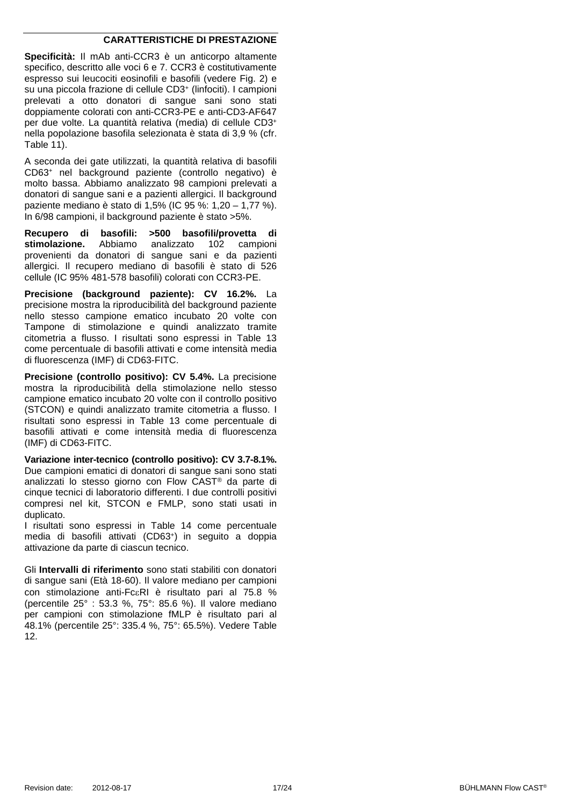#### **CARATTERISTICHE DI PRESTAZIONE**

**Specificità:** Il mAb anti-CCR3 è un anticorpo altamente specifico, descritto alle voci 6 e 7. CCR3 è costitutivamente espresso sui leucociti eosinofili e basofili (vedere Fig. 2) e su una piccola frazione di cellule CD3+ (linfociti). I campioni prelevati a otto donatori di sangue sani sono stati doppiamente colorati con anti-CCR3-PE e anti-CD3-AF647 per due volte. La quantità relativa (media) di cellule CD3+ nella popolazione basofila selezionata è stata di 3,9 % (cfr. [Table 11\)](#page-21-0).

A seconda dei gate utilizzati, la quantità relativa di basofili CD63+ nel background paziente (controllo negativo) è molto bassa. Abbiamo analizzato 98 campioni prelevati a donatori di sangue sani e a pazienti allergici. Il background paziente mediano è stato di 1,5% (IC 95 %: 1,20 – 1,77 %). In 6/98 campioni, il background paziente è stato >5%.

**Recupero di basofili: >500 basofili/provetta di stimolazione.** Abbiamo analizzato 102 campioni provenienti da donatori di sangue sani e da pazienti allergici. Il recupero mediano di basofili è stato di 526 cellule (IC 95% 481-578 basofili) colorati con CCR3-PE.

**Precisione (background paziente): CV 16.2%.** La precisione mostra la riproducibilità del background paziente nello stesso campione ematico incubato 20 volte con Tampone di stimolazione e quindi analizzato tramite citometria a flusso. I risultati sono espressi in [Table 13](#page-21-1) come percentuale di basofili attivati e come intensità media di fluorescenza (IMF) di CD63-FITC.

**Precisione (controllo positivo): CV 5.4%.** La precisione mostra la riproducibilità della stimolazione nello stesso campione ematico incubato 20 volte con il controllo positivo (STCON) e quindi analizzato tramite citometria a flusso. I risultati sono espressi in [Table 13](#page-21-1) come percentuale di basofili attivati e come intensità media di fluorescenza (IMF) di CD63-FITC.

**Variazione inter-tecnico (controllo positivo): CV 3.7-8.1%.** Due campioni ematici di donatori di sangue sani sono stati analizzati lo stesso giorno con Flow CAST® da parte di cinque tecnici di laboratorio differenti. I due controlli positivi compresi nel kit, STCON e FMLP, sono stati usati in duplicato.

I risultati sono espressi in [Table 14](#page-21-2) come percentuale media di basofili attivati (CD63+) in seguito a doppia attivazione da parte di ciascun tecnico.

Gli **Intervalli di riferimento** sono stati stabiliti con donatori di sangue sani (Età 18-60). Il valore mediano per campioni con stimolazione anti-FcεRI è risultato pari al 75.8 % (percentile 25° : 53.3 %, 75°: 85.6 %). Il valore mediano per campioni con stimolazione fMLP è risultato pari al 48.1% (percentile 25°: 335.4 %, 75°: 65.5%). Vedere [Table](#page-21-3)  [12.](#page-21-3)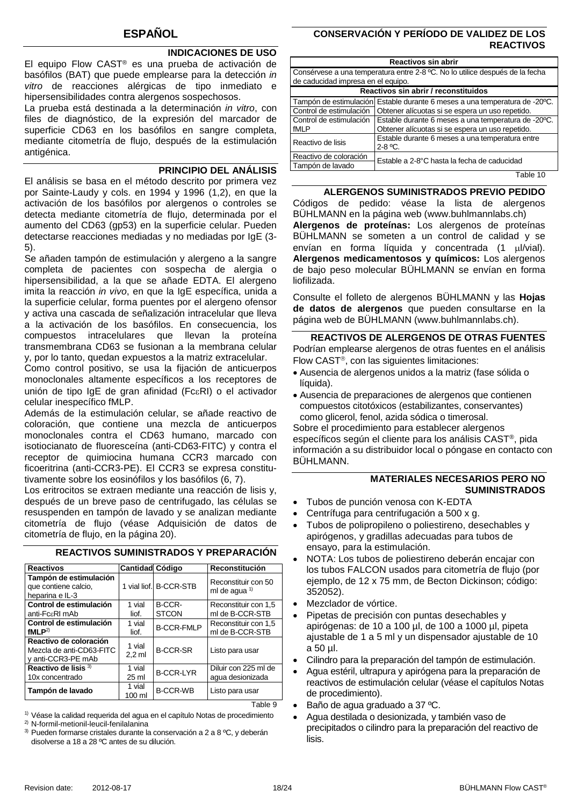## **INDICACIONES DE USO**

El equipo Flow CAST® es una prueba de activación de basófilos (BAT) que puede emplearse para la detección *in vitro* de reacciones alérgicas de tipo inmediato e hipersensibilidades contra alergenos sospechosos.

La prueba está destinada a la determinación *in vitro*, con files de diagnóstico, de la expresión del marcador de superficie CD63 en los basófilos en sangre completa, mediante citometría de flujo, después de la estimulación antigénica.

#### **PRINCIPIO DEL ANÁLISIS**

El análisis se basa en el método descrito por primera vez por Sainte-Laudy y cols. en 1994 y 1996 (1,2), en que la activación de los basófilos por alergenos o controles se detecta mediante citometría de flujo, determinada por el aumento del CD63 (gp53) en la superficie celular. Pueden detectarse reacciones mediadas y no mediadas por IgE (3- 5).

Se añaden tampón de estimulación y alergeno a la sangre completa de pacientes con sospecha de alergia o hipersensibilidad, a la que se añade EDTA. El alergeno imita la reacción *in vivo*, en que la IgE específica, unida a la superficie celular, forma puentes por el alergeno ofensor y activa una cascada de señalización intracelular que lleva a la activación de los basófilos. En consecuencia, los compuestos intracelulares que llevan la proteína transmembrana CD63 se fusionan a la membrana celular y, por lo tanto, quedan expuestos a la matriz extracelular.

Como control positivo, se usa la fijación de anticuerpos monoclonales altamente específicos a los receptores de unión de tipo IgE de gran afinidad (FcεRI) o el activador celular inespecífico fMLP.

Además de la estimulación celular, se añade reactivo de coloración, que contiene una mezcla de anticuerpos monoclonales contra el CD63 humano, marcado con isotiocianato de fluoresceína (anti-CD63-FITC) y contra el receptor de quimiocina humana CCR3 marcado con ficoeritrina (anti-CCR3-PE). El CCR3 se expresa constitutivamente sobre los eosinófilos y los basófilos (6, 7).

Los eritrocitos se extraen mediante una reacción de lisis y, después de un breve paso de centrifugado, las células se resuspenden en tampón de lavado y se analizan mediante citometría de flujo (véase Adquisición de datos de citometría de flujo, en la página [20\)](#page-19-0).

| <b>Reactivos</b>                                                         | <b>Cantidad Código</b>     |                        | Reconstitución                                  |
|--------------------------------------------------------------------------|----------------------------|------------------------|-------------------------------------------------|
| Tampón de estimulación<br>que contiene calcio,<br>heparina e IL-3        |                            | 1 vial liof. B-CCR-STB | Reconstituir con 50<br>ml de aqua <sup>1)</sup> |
| Control de estimulación<br>anti-FcaRI mAb                                | 1 vial<br>liof.            | B-CCR-<br><b>STCON</b> | Reconstituir con 1,5<br>ml de B-CCR-STB         |
|                                                                          |                            |                        |                                                 |
| Control de estimulación<br>fMLP <sup>2</sup>                             | 1 vial<br>liof.            | <b>B-CCR-FMLP</b>      | Reconstituir con 1.5<br>ml de B-CCR-STB         |
| Reactivo de coloración<br>Mezcla de anti-CD63-FITC<br>v anti-CCR3-PE mAb | 1 vial<br>$2.2$ ml         | <b>B-CCR-SR</b>        | Listo para usar                                 |
| Reactivo de lisis <sup>3)</sup><br>10x concentrado                       | 1 vial<br>25 <sub>ml</sub> | <b>B-CCR-LYR</b>       | Diluir con 225 ml de<br>aqua desionizada        |
| Tampón de lavado                                                         | 1 vial<br>100 ml           | <b>B-CCR-WB</b>        | Listo para usar                                 |
|                                                                          |                            |                        | ۹ Ahle                                          |

**REACTIVOS SUMINISTRADOS Y PREPARACIÓN**

<sup>1)</sup> Véase la calidad requerida del agua en el capítulo Notas de procedimiento

2) N-formil-metionil-leucil-fenilalanina

<sup>3)</sup> Pueden formarse cristales durante la conservación a 2 a 8 °C, y deberán disolverse a 18 a 28 ºC antes de su dilución.

#### **CONSERVACIÓN Y PERÍODO DE VALIDEZ DE LOS REACTIVOS**

| Reactivos sin abrir                |                                                                              |  |  |  |
|------------------------------------|------------------------------------------------------------------------------|--|--|--|
|                                    | Consérvese a una temperatura entre 2-8 °C. No lo utilice después de la fecha |  |  |  |
| de caducidad impresa en el equipo. |                                                                              |  |  |  |
|                                    | Reactivos sin abrir / reconstituidos                                         |  |  |  |
|                                    | Tampón de estimulación Estable durante 6 meses a una temperatura de -20°C.   |  |  |  |
| Control de estimulación            | Obtener alícuotas si se espera un uso repetido.                              |  |  |  |
| Control de estimulación            | Estable durante 6 meses a una temperatura de -20°C.                          |  |  |  |
| fMLP                               | Obtener alícuotas si se espera un uso repetido.                              |  |  |  |
| Reactivo de lisis                  | Estable durante 6 meses a una temperatura entre                              |  |  |  |
|                                    | $2-8$ °C.                                                                    |  |  |  |
| Reactivo de coloración             | Estable a 2-8°C hasta la fecha de caducidad                                  |  |  |  |
| Tampón de lavado                   |                                                                              |  |  |  |
|                                    | — <u>11.40</u>                                                               |  |  |  |

Table 10

**ALERGENOS SUMINISTRADOS PREVIO PEDIDO** Códigos de pedido: véase la lista de alergenos BÜHLMANN en la página web (www.buhlmannlabs.ch) **Alergenos de proteínas:** Los alergenos de proteínas BÜHLMANN se someten a un control de calidad y se envían en forma líquida y concentrada (1 µl/vial). **Alergenos medicamentosos y químicos:** Los alergenos de bajo peso molecular BÜHLMANN se envían en forma liofilizada.

Consulte el folleto de alergenos BÜHLMANN y las **Hojas de datos de alergenos** que pueden consultarse en la página web de BÜHLMANN (www.buhlmannlabs.ch).

**REACTIVOS DE ALERGENOS DE OTRAS FUENTES** Podrían emplearse alergenos de otras fuentes en el análisis Flow CAST®, con las siguientes limitaciones:

- Ausencia de alergenos unidos a la matriz (fase sólida o líquida).
- Ausencia de preparaciones de alergenos que contienen compuestos citotóxicos (estabilizantes, conservantes) como glicerol, fenol, azida sódica o timerosal.

Sobre el procedimiento para establecer alergenos específicos según el cliente para los análisis CAST®, pida información a su distribuidor local o póngase en contacto con BÜHLMANN.

## **MATERIALES NECESARIOS PERO NO SUMINISTRADOS**

- Tubos de punción venosa con K-EDTA
- Centrífuga para centrifugación a 500 x g.
- Tubos de polipropileno o poliestireno, desechables y apirógenos, y gradillas adecuadas para tubos de ensayo, para la estimulación.
- NOTA: Los tubos de poliestireno deberán encajar con los tubos FALCON usados para citometría de flujo (por ejemplo, de 12 x 75 mm, de Becton Dickinson; código: 352052).
- Mezclador de vórtice.
- Pipetas de precisión con puntas desechables y apirógenas: de 10 a 100 µl, de 100 a 1000 µl, pipeta ajustable de 1 a 5 ml y un dispensador ajustable de 10 a 50 µl.
- Cilindro para la preparación del tampón de estimulación.
- Agua estéril, ultrapura y apirógena para la preparación de reactivos de estimulación celular (véase el capítulos Notas de procedimiento).
- Baño de agua graduado a 37 ºC.
- Agua destilada o desionizada, y también vaso de precipitados o cilindro para la preparación del reactivo de lisis.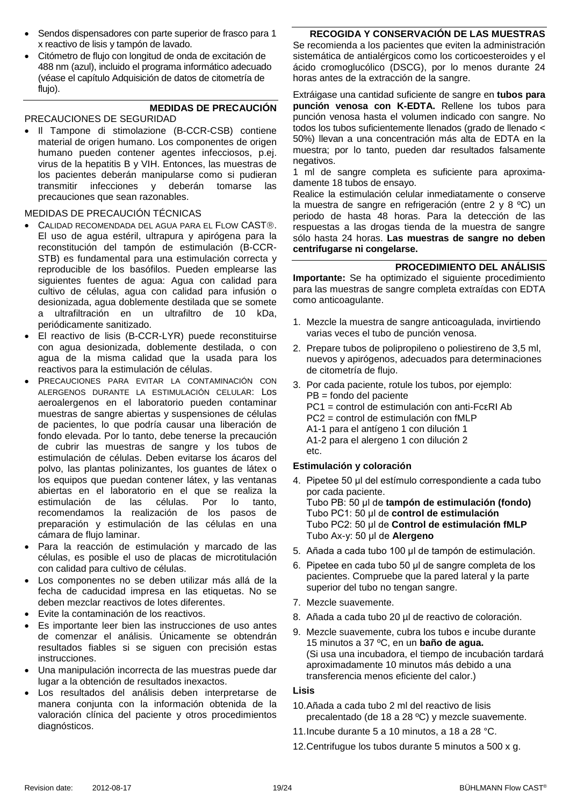- Sendos dispensadores con parte superior de frasco para 1 x reactivo de lisis y tampón de lavado.
- Citómetro de flujo con longitud de onda de excitación de 488 nm (azul), incluido el programa informático adecuado (véase el capítulo Adquisición de datos de citometría de flujo).

#### **MEDIDAS DE PRECAUCIÓN**

PRECAUCIONES DE SEGURIDAD

• Il Tampone di stimolazione (B-CCR-CSB) contiene material de origen humano. Los componentes de origen humano pueden contener agentes infecciosos, p.ej. virus de la hepatitis B y VIH. Entonces, las muestras de los pacientes deberán manipularse como si pudieran transmitir infecciones y deberán tomarse las precauciones que sean razonables.

#### MEDIDAS DE PRECAUCIÓN TÉCNICAS

- CALIDAD RECOMENDADA DEL AGUA PARA EL FLOW CAST®. El uso de agua estéril, ultrapura y apirógena para la reconstitución del tampón de estimulación (B-CCR-STB) es fundamental para una estimulación correcta y reproducible de los basófilos. Pueden emplearse las siguientes fuentes de agua: Agua con calidad para cultivo de células, agua con calidad para infusión o desionizada, agua doblemente destilada que se somete a ultrafiltración en un ultrafiltro de 10 kDa, periódicamente sanitizado.
- El reactivo de lisis (B-CCR-LYR) puede reconstituirse con agua desionizada, doblemente destilada, o con agua de la misma calidad que la usada para los reactivos para la estimulación de células.
- PRECAUCIONES PARA EVITAR LA CONTAMINACIÓN CON ALERGENOS DURANTE LA ESTIMULACIÓN CELULAR: Los aeroalergenos en el laboratorio pueden contaminar muestras de sangre abiertas y suspensiones de células de pacientes, lo que podría causar una liberación de fondo elevada. Por lo tanto, debe tenerse la precaución de cubrir las muestras de sangre y los tubos de estimulación de células. Deben evitarse los ácaros del polvo, las plantas polinizantes, los guantes de látex o los equipos que puedan contener látex, y las ventanas abiertas en el laboratorio en el que se realiza la estimulación de las células. Por lo tanto, recomendamos la realización de los pasos de preparación y estimulación de las células en una cámara de flujo laminar.
- Para la reacción de estimulación y marcado de las células, es posible el uso de placas de microtitulación con calidad para cultivo de células.
- Los componentes no se deben utilizar más allá de la fecha de caducidad impresa en las etiquetas. No se deben mezclar reactivos de lotes diferentes.
- Evite la contaminación de los reactivos.
- Es importante leer bien las instrucciones de uso antes de comenzar el análisis. Únicamente se obtendrán resultados fiables si se siguen con precisión estas instrucciones.
- Una manipulación incorrecta de las muestras puede dar lugar a la obtención de resultados inexactos.
- Los resultados del análisis deben interpretarse de manera conjunta con la información obtenida de la valoración clínica del paciente y otros procedimientos diagnósticos.

## **RECOGIDA Y CONSERVACIÓN DE LAS MUESTRAS**

Se recomienda a los pacientes que eviten la administración sistemática de antialérgicos como los corticoesteroides y el ácido cromoglucólico (DSCG), por lo menos durante 24 horas antes de la extracción de la sangre.

Extráigase una cantidad suficiente de sangre en **tubos para punción venosa con K-EDTA.** Rellene los tubos para punción venosa hasta el volumen indicado con sangre. No todos los tubos suficientemente llenados (grado de llenado < 50%) llevan a una concentración más alta de EDTA en la muestra; por lo tanto, pueden dar resultados falsamente negativos.

1 ml de sangre completa es suficiente para aproximadamente 18 tubos de ensayo.

Realice la estimulación celular inmediatamente o conserve la muestra de sangre en refrigeración (entre 2 y 8 ºC) un periodo de hasta 48 horas. Para la detección de las respuestas a las drogas tienda de la muestra de sangre sólo hasta 24 horas. **Las muestras de sangre no deben centrifugarse ni congelarse.**

#### **PROCEDIMIENTO DEL ANÁLISIS**

**Importante:** Se ha optimizado el siguiente procedimiento para las muestras de sangre completa extraídas con EDTA como anticoagulante.

- 1. Mezcle la muestra de sangre anticoagulada, invirtiendo varias veces el tubo de punción venosa.
- 2. Prepare tubos de polipropileno o poliestireno de 3,5 ml, nuevos y apirógenos, adecuados para determinaciones de citometría de flujo.
- 3. Por cada paciente, rotule los tubos, por ejemplo: PB = fondo del paciente PC1 = control de estimulación con anti-FcεRI Ab PC2 = control de estimulación con fMLP A1-1 para el antígeno 1 con dilución 1 A1-2 para el alergeno 1 con dilución 2 etc.

#### **Estimulación y coloración**

- 4. Pipetee 50 μl del estímulo correspondiente a cada tubo por cada paciente. Tubo PB: 50 μl de **tampón de estimulación (fondo)**  Tubo PC1: 50 μl de **control de estimulación** Tubo PC2: 50 μl de **Control de estimulación fMLP**  Tubo Ax-y: 50 μl de **Alergeno**
- 5. Añada a cada tubo 100 μl de tampón de estimulación.
- 6. Pipetee en cada tubo 50 μl de sangre completa de los pacientes. Compruebe que la pared lateral y la parte superior del tubo no tengan sangre.
- 7. Mezcle suavemente.
- 8. Añada a cada tubo 20 µl de reactivo de coloración.
- 9. Mezcle suavemente, cubra los tubos e incube durante 15 minutos a 37 ºC, en un **baño de agua.** (Si usa una incubadora, el tiempo de incubación tardará aproximadamente 10 minutos más debido a una transferencia menos eficiente del calor.)

#### **Lisis**

- 10.Añada a cada tubo 2 ml del reactivo de lisis precalentado (de 18 a 28 ºC) y mezcle suavemente.
- 11.Incube durante 5 a 10 minutos, a 18 a 28 °C.
- 12.Centrifugue los tubos durante 5 minutos a 500 x g.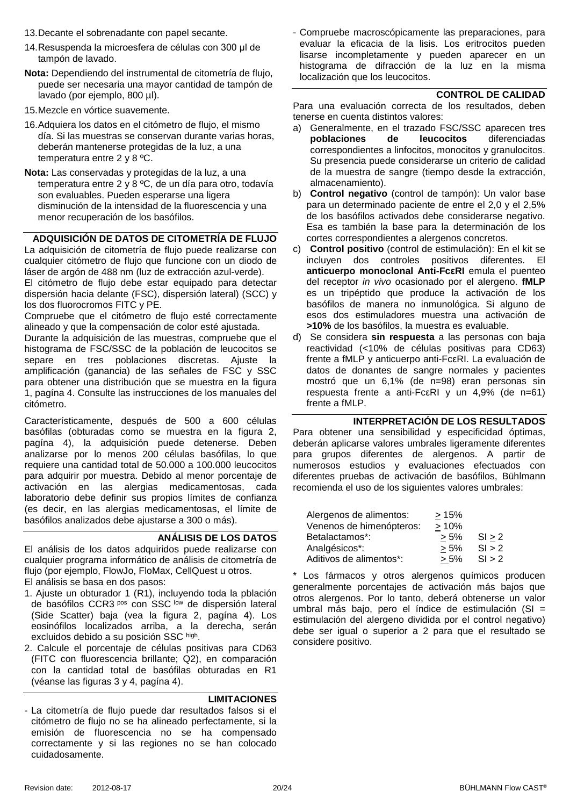- 13.Decante el sobrenadante con papel secante.
- 14.Resuspenda la microesfera de células con 300 μl de tampón de lavado.
- **Nota:** Dependiendo del instrumental de citometría de flujo, puede ser necesaria una mayor cantidad de tampón de lavado (por ejemplo, 800 µl).
- 15.Mezcle en vórtice suavemente.
- 16.Adquiera los datos en el citómetro de flujo, el mismo día. Si las muestras se conservan durante varias horas, deberán mantenerse protegidas de la luz, a una temperatura entre 2 y 8 ºC.
- **Nota:** Las conservadas y protegidas de la luz, a una temperatura entre 2 y 8 ºC, de un día para otro, todavía son evaluables. Pueden esperarse una ligera disminución de la intensidad de la fluorescencia y una menor recuperación de los basófilos.

#### <span id="page-19-0"></span>**ADQUISICIÓN DE DATOS DE CITOMETRÍA DE FLUJO**

La adquisición de citometría de flujo puede realizarse con cualquier citómetro de flujo que funcione con un diodo de láser de argón de 488 nm (luz de extracción azul-verde).

El citómetro de flujo debe estar equipado para detectar dispersión hacia delante (FSC), dispersión lateral) (SCC) y los dos fluorocromos FITC y PE.

Compruebe que el citómetro de flujo esté correctamente alineado y que la compensación de color esté ajustada.

Durante la adquisición de las muestras, compruebe que el histograma de FSC/SSC de la población de leucocitos se separe en tres poblaciones discretas. Ajuste la amplificación (ganancia) de las señales de FSC y SSC para obtener una distribución que se muestra en la figura 1, pagína [4.](#page-3-1) Consulte las instrucciones de los manuales del citómetro.

Característicamente, después de 500 a 600 células basófilas (obturadas como se muestra en la figura 2, pagína [4\)](#page-3-1), la adquisición puede detenerse. Deben analizarse por lo menos 200 células basófilas, lo que requiere una cantidad total de 50.000 a 100.000 leucocitos para adquirir por muestra. Debido al menor porcentaje de activación en las alergias medicamentosas, cada laboratorio debe definir sus propios límites de confianza (es decir, en las alergias medicamentosas, el límite de basófilos analizados debe ajustarse a 300 o más).

#### **ANÁLISIS DE LOS DATOS**

El análisis de los datos adquiridos puede realizarse con cualquier programa informático de análisis de citometría de flujo (por ejemplo, FlowJo, FloMax, CellQuest u otros. El análisis se basa en dos pasos:

- 1. Ajuste un obturador 1 (R1), incluyendo toda la pblación de basófilos CCR3 pos con SSC low de dispersión lateral (Side Scatter) baja (vea la figura 2, pagína [4\)](#page-3-1). Los eosinófilos localizados arriba, a la derecha, serán excluidos debido a su posición SSC high.
- 2. Calcule el porcentaje de células positivas para CD63 (FITC con fluorescencia brillante; Q2), en comparación con la cantidad total de basófilas obturadas en R1 (véanse las figuras 3 y 4, pagína [4\)](#page-3-1).

#### **LIMITACIONES**

- La citometría de flujo puede dar resultados falsos si el citómetro de flujo no se ha alineado perfectamente, si la emisión de fluorescencia no se ha compensado correctamente y si las regiones no se han colocado cuidadosamente.

- Compruebe macroscópicamente las preparaciones, para evaluar la eficacia de la lisis. Los eritrocitos pueden lisarse incompletamente y pueden aparecer en un histograma de difracción de la luz en la misma localización que los leucocitos.

#### **CONTROL DE CALIDAD**

Para una evaluación correcta de los resultados, deben tenerse en cuenta distintos valores:

- a) Generalmente, en el trazado FSC/SSC aparecen tres **poblaciones de leucocitos** diferenciadas correspondientes a linfocitos, monocitos y granulocitos. Su presencia puede considerarse un criterio de calidad de la muestra de sangre (tiempo desde la extracción, almacenamiento).
- b) **Control negativo** (control de tampón): Un valor base para un determinado paciente de entre el 2,0 y el 2,5% de los basófilos activados debe considerarse negativo. Esa es también la base para la determinación de los cortes correspondientes a alergenos concretos.
- c) **Control positivo** (control de estimulación): En el kit se incluyen dos controles positivos diferentes. El **anticuerpo monoclonal Anti-FcεRI** emula el puenteo del receptor *in vivo* ocasionado por el alergeno. **fMLP** es un tripéptido que produce la activación de los basófilos de manera no inmunológica. Si alguno de esos dos estimuladores muestra una activación de **>10%** de los basófilos, la muestra es evaluable.
- d) Se considera **sin respuesta** a las personas con baja reactividad (<10% de células positivas para CD63) frente a fMLP y anticuerpo anti-FcεRI. La evaluación de datos de donantes de sangre normales y pacientes mostró que un 6,1% (de n=98) eran personas sin respuesta frente a anti-FcεRI y un 4,9% (de n=61) frente a fMLP.

## **INTERPRETACIÓN DE LOS RESULTADOS**

Para obtener una sensibilidad y especificidad óptimas, deberán aplicarse valores umbrales ligeramente diferentes para grupos diferentes de alergenos. A partir de numerosos estudios y evaluaciones efectuados con diferentes pruebas de activación de basófilos, Bühlmann recomienda el uso de los siguientes valores umbrales:

| Alergenos de alimentos:  | >15%    |        |
|--------------------------|---------|--------|
| Venenos de himenópteros: | >10%    |        |
| Betalactamos*:           | $> 5\%$ | SI > 2 |
| Analgésicos*:            | $> 5\%$ | SI > 2 |
| Aditivos de alimentos*:  | $> 5\%$ | SI > 2 |

\* Los fármacos y otros alergenos químicos producen generalmente porcentajes de activación más bajos que otros alergenos. Por lo tanto, deberá obtenerse un valor umbral más bajo, pero el índice de estimulación (SI = estimulación del alergeno dividida por el control negativo) debe ser igual o superior a 2 para que el resultado se considere positivo.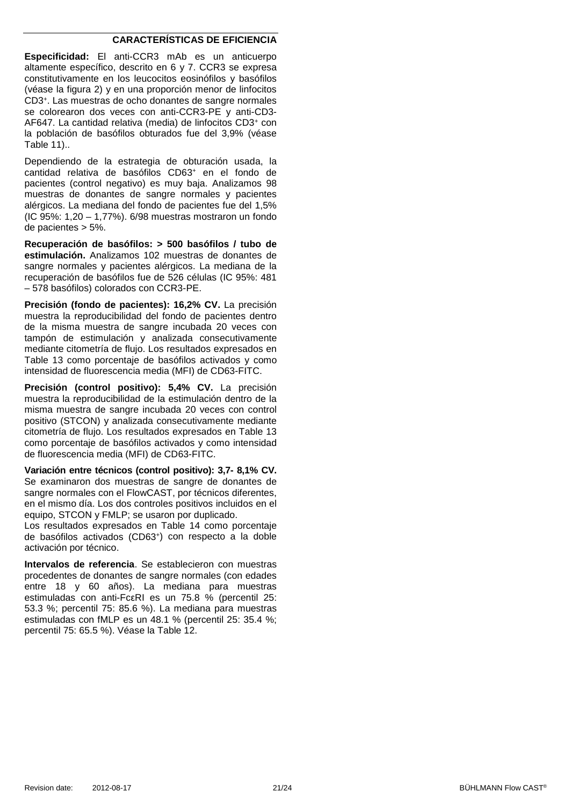#### **CARACTERÍSTICAS DE EFICIENCIA**

**Especificidad:** El anti-CCR3 mAb es un anticuerpo altamente específico, descrito en 6 y 7. CCR3 se expresa constitutivamente en los leucocitos eosinófilos y basófilos (véase la figura 2) y en una proporción menor de linfocitos CD3+. Las muestras de ocho donantes de sangre normales se colorearon dos veces con anti-CCR3-PE y anti-CD3- AF647. La cantidad relativa (media) de linfocitos CD3+ con la población de basófilos obturados fue del 3,9% (véase [Table 11\)](#page-21-0)..

Dependiendo de la estrategia de obturación usada, la cantidad relativa de basófilos CD63+ en el fondo de pacientes (control negativo) es muy baja. Analizamos 98 muestras de donantes de sangre normales y pacientes alérgicos. La mediana del fondo de pacientes fue del 1,5% (IC 95%: 1,20 – 1,77%). 6/98 muestras mostraron un fondo de pacientes > 5%.

**Recuperación de basófilos: > 500 basófilos / tubo de estimulación.** Analizamos 102 muestras de donantes de sangre normales y pacientes alérgicos. La mediana de la recuperación de basófilos fue de 526 células (IC 95%: 481 – 578 basófilos) colorados con CCR3-PE.

**Precisión (fondo de pacientes): 16,2% CV.** La precisión muestra la reproducibilidad del fondo de pacientes dentro de la misma muestra de sangre incubada 20 veces con tampón de estimulación y analizada consecutivamente mediante citometría de flujo. Los resultados expresados en [Table 13](#page-21-1) como porcentaje de basófilos activados y como intensidad de fluorescencia media (MFI) de CD63-FITC.

**Precisión (control positivo): 5,4% CV.** La precisión muestra la reproducibilidad de la estimulación dentro de la misma muestra de sangre incubada 20 veces con control positivo (STCON) y analizada consecutivamente mediante citometría de flujo. Los resultados expresados en [Table 13](#page-21-1) como porcentaje de basófilos activados y como intensidad de fluorescencia media (MFI) de CD63-FITC.

**Variación entre técnicos (control positivo): 3,7- 8,1% CV.** Se examinaron dos muestras de sangre de donantes de sangre normales con el FlowCAST, por técnicos diferentes, en el mismo día. Los dos controles positivos incluidos en el equipo, STCON y FMLP; se usaron por duplicado.

Los resultados expresados en [Table 14](#page-21-2) como porcentaje de basófilos activados (CD63+) con respecto a la doble activación por técnico.

**Intervalos de referencia**. Se establecieron con muestras procedentes de donantes de sangre normales (con edades entre 18 y 60 años). La mediana para muestras estimuladas con anti-FcεRI es un 75.8 % (percentil 25: 53.3 %; percentil 75: 85.6 %). La mediana para muestras estimuladas con fMLP es un 48.1 % (percentil 25: 35.4 %; percentil 75: 65.5 %). Véase la [Table 12.](#page-21-3)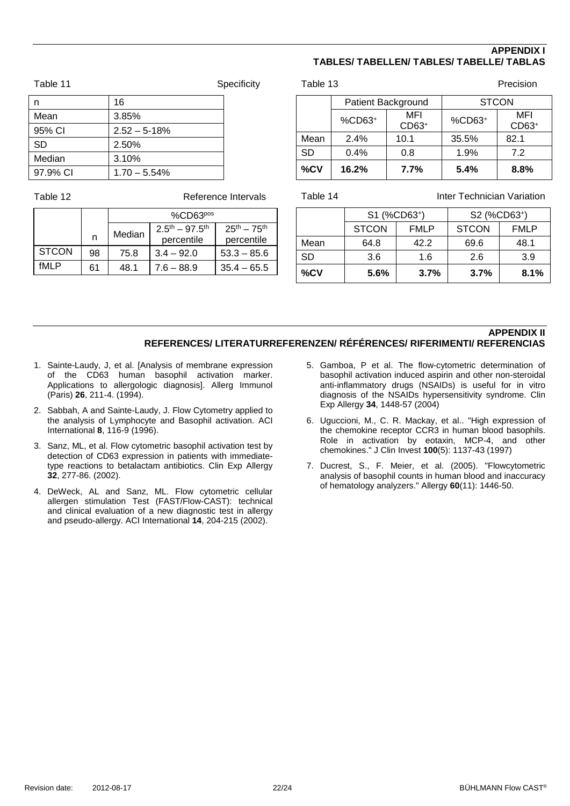#### **APPENDIX I TABLES/ TABELLEN/ TABLES/ TABELLE/ TABLAS**

<span id="page-21-0"></span>

| Table 11  |                  | Specificity |
|-----------|------------------|-------------|
| n         | 16               |             |
| Mean      | 3.85%            |             |
| 95% CI    | $2.52 - 5 - 18%$ |             |
| <b>SD</b> | 2.50%            |             |
| Median    | 3.10%            |             |
| 97.9% CI  | $1.70 - 5.54%$   |             |
|           |                  |             |

<span id="page-21-3"></span>

Table 12 **Reference Intervals** 

|              |    | %CD63 <sub>pos</sub> |                  |                     |
|--------------|----|----------------------|------------------|---------------------|
|              |    | Median               | $2.5th - 97.5th$ | $25^{th} - 75^{th}$ |
|              | n  |                      | percentile       | percentile          |
| <b>STCON</b> | 98 | 75.8                 | $3.4 - 92.0$     | $53.3 - 85.6$       |
| fMI P        | 61 | 48.1                 | $7.6 - 88.9$     | $35.4 - 65.5$       |

<span id="page-21-1"></span>

| Table 13           |        |                |        | Precision    |
|--------------------|--------|----------------|--------|--------------|
| Patient Background |        | <b>STCON</b>   |        |              |
|                    | %CD63+ | MFI<br>$CD63+$ | %CD63+ | MFI<br>CD63+ |
| Mean               | 2.4%   | 10.1           | 35.5%  | 82.1         |
| <b>SD</b>          | 0.4%   | 0.8            | 1.9%   | 7.2          |
| %CV                | 16.2%  | 7.7%           | 5.4%   | 8.8%         |

<span id="page-21-2"></span>Table 14 **Inter Technician Variation** 

|         | S1 (%CD63+)  |             | S2 (%CD63+)  |             |
|---------|--------------|-------------|--------------|-------------|
|         | <b>STCON</b> | <b>FMLP</b> | <b>STCON</b> | <b>FMLP</b> |
| Mean    | 64.8         | 42.2        | 69.6         | 48.1        |
| SD      | 3.6          | 1.6         | 2.6          | 3.9         |
| $\%$ CV | 5.6%         | 3.7%        | 3.7%         | 8.1%        |

#### **APPENDIX II REFERENCES/ LITERATURREFERENZEN/ RÉFÉRENCES/ RIFERIMENTI/ REFERENCIAS**

- <span id="page-21-4"></span>1. Sainte-Laudy, J, et al. [Analysis of membrane expression of the CD63 human basophil activation marker. Applications to allergologic diagnosis]. Allerg Immunol (Paris) **26**, 211-4. (1994).
- <span id="page-21-5"></span>2. Sabbah, A and Sainte-Laudy, J. Flow Cytometry applied to the analysis of Lymphocyte and Basophil activation. ACI International **8**, 116-9 (1996).
- <span id="page-21-6"></span>3. Sanz, ML, et al. Flow cytometric basophil activation test by detection of CD63 expression in patients with immediatetype reactions to betalactam antibiotics. Clin Exp Allergy **32**, 277-86. (2002).
- 4. DeWeck, AL and Sanz, ML. Flow cytometric cellular allergen stimulation Test (FAST/Flow-CAST): technical and clinical evaluation of a new diagnostic test in allergy and pseudo-allergy. ACI International **14**, 204-215 (2002).
- <span id="page-21-7"></span>5. Gamboa, P et al. The flow-cytometric determination of basophil activation induced aspirin and other non-steroidal anti-inflammatory drugs (NSAIDs) is useful for in vitro diagnosis of the NSAIDs hypersensitivity syndrome. Clin Exp Allergy **34**, 1448-57 (2004)
- <span id="page-21-8"></span>6. Uguccioni, M., C. R. Mackay, et al.. "High expression of the chemokine receptor CCR3 in human blood basophils. Role in activation by eotaxin, MCP-4, and other chemokines." J Clin Invest **100**(5): 1137-43 (1997)
- <span id="page-21-9"></span>7. Ducrest, S., F. Meier, et al. (2005). "Flowcytometric analysis of basophil counts in human blood and inaccuracy of hematology analyzers." Allergy **60**(11): 1446-50.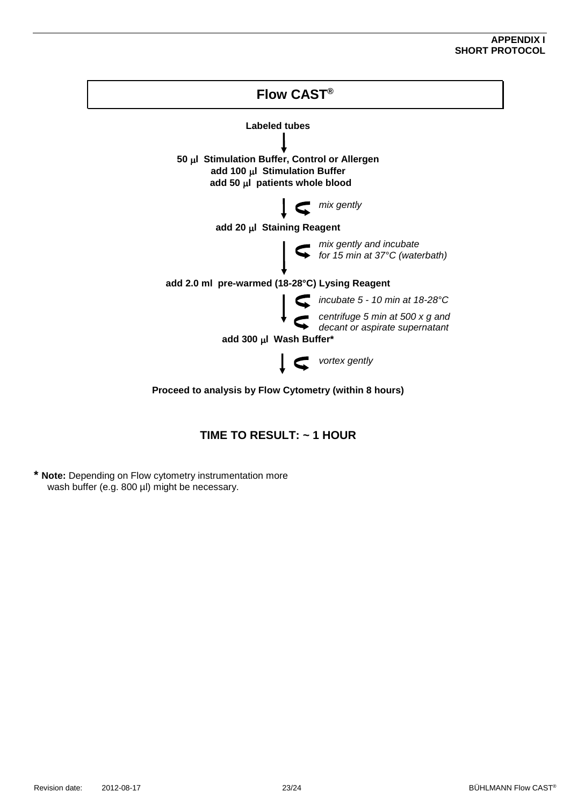#### **APPENDIX I SHORT PROTOCOL**



## **TIME TO RESULT: ~ 1 HOUR**

**\* Note:** Depending on Flow cytometry instrumentation more wash buffer (e.g. 800 µl) might be necessary.